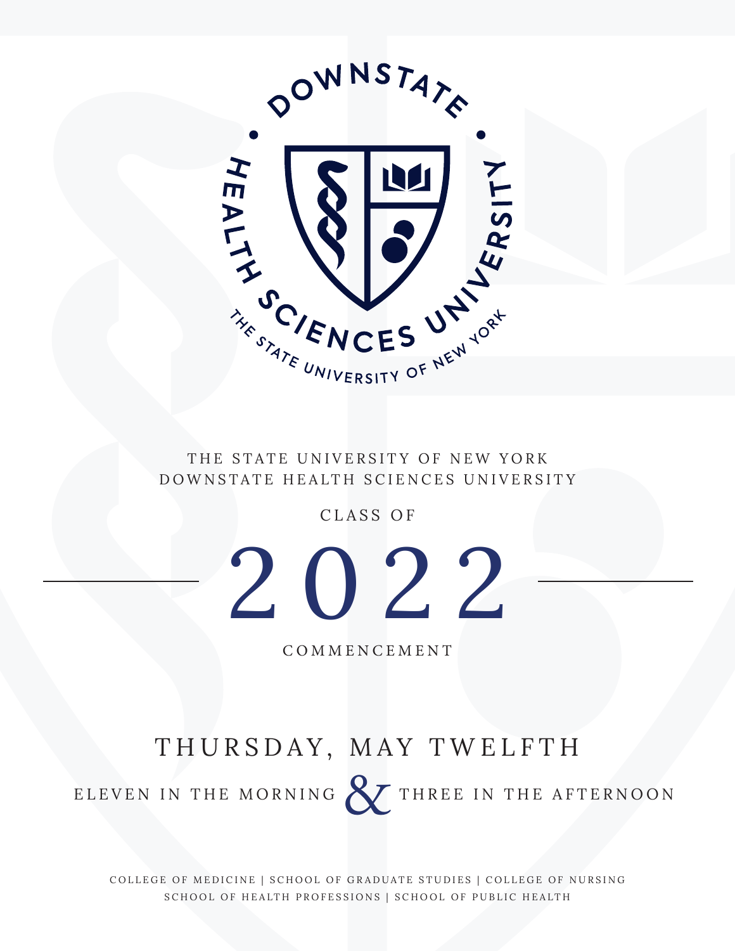

THE STATE UNIVERSITY OF NEW YORK DOWNSTATE HEALTH SCIENCES UNIVERSITY

CLASS OF



COMMENCEMENT

## THURSDAY, MAY TWELFTH

ELEVEN IN THE MORNING **& THREE IN THE AFTERNOON** 

COLLEGE OF MEDICINE | SCHOOL OF GRADUATE STUDIES | COLLEGE OF NURSING SCHOOL OF HEALTH PROFESSIONS | SCHOOL OF PUBLIC HEALTH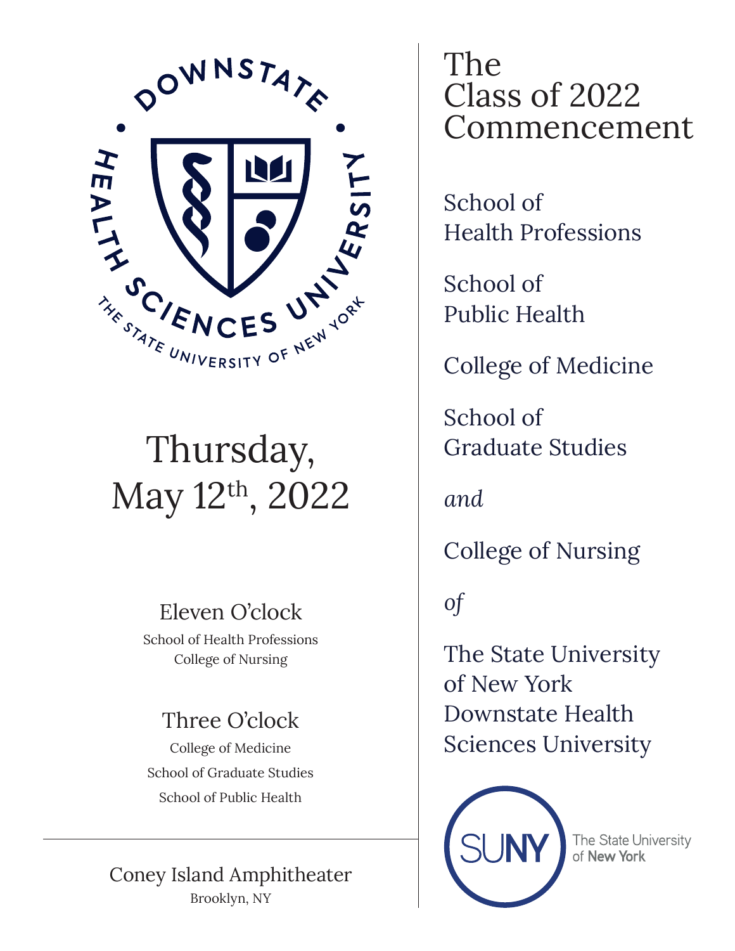

# Thursday, May 12th, 2022

## Eleven O'clock

School of Health Professions College of Nursing

## Three O'clock

College of Medicine School of Graduate Studies School of Public Health

## Coney Island Amphitheater Brooklyn, NY

The Class of 2022 Commencement

School of Health Professions

School of Public Health

College of Medicine

School of Graduate Studies

*and*

College of Nursing

*of*

The State University of New York Downstate Health Sciences University



The State University of New York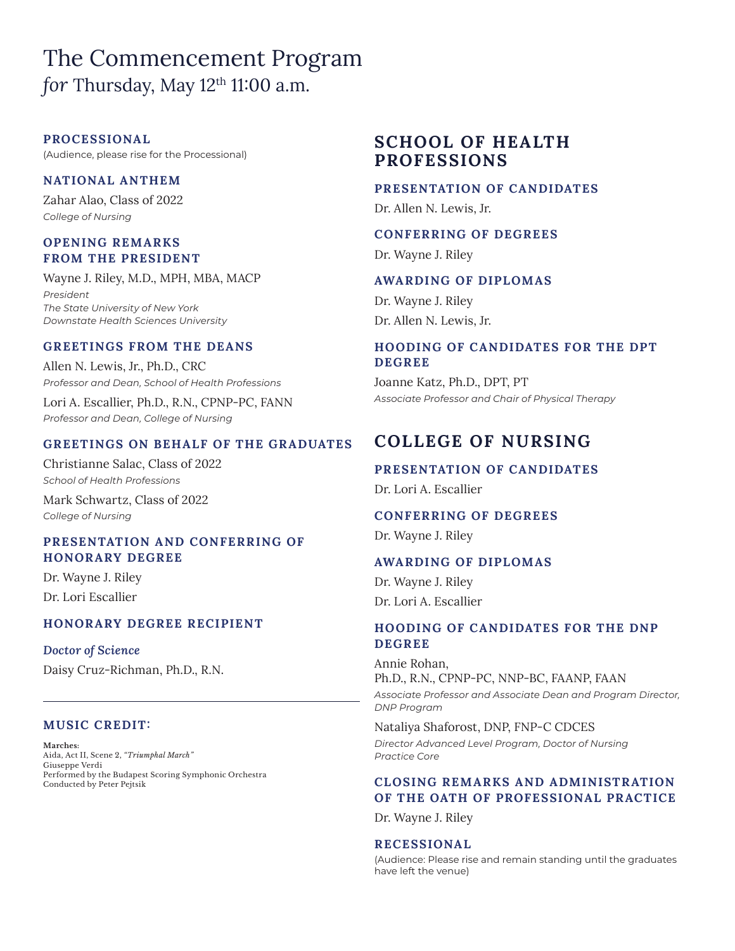## The Commencement Program *for* Thursday, May  $12<sup>th</sup> 11:00$  a.m.

### **PROCESSIONAL**

(Audience, please rise for the Processional)

### **NATIONAL ANTHEM**

Zahar Alao, Class of 2022 *College of Nursing* 

### **OPENING REMARKS FROM THE PRESIDENT**

Wayne J. Riley, M.D., MPH, MBA, MACP *President The State University of New York Downstate Health Sciences University*

### **GREETINGS FROM THE DEANS**

Allen N. Lewis, Jr., Ph.D., CRC *Professor and Dean, School of Health Professions*

Lori A. Escallier, Ph.D., R.N., CPNP-PC, FANN *Professor and Dean, College of Nursing*

### **GREETINGS ON BEHALF OF THE GRADUATES**

Christianne Salac, Class of 2022 *School of Health Professions* Mark Schwartz, Class of 2022

*College of Nursing* 

### **PRESENTATION AND CONFERRING OF HONORARY DEGREE**

Dr. Wayne J. Riley Dr. Lori Escallier

### **HONORARY DEGREE RECIPIENT**

### *Doctor of Science*

Daisy Cruz-Richman, Ph.D., R.N.

### **MUSIC CREDIT:**

**Marches:** Aida, Act II, Scene 2, *"Triumphal March"* Giuseppe Verdi Performed by the Budapest Scoring Symphonic Orchestra Conducted by Peter Pejtsik

## **SCHOOL OF HEALTH PROFESSIONS**

### **PRESENTATION OF CANDIDATES**

Dr. Allen N. Lewis, Jr.

### **CONFERRING OF DEGREES**

Dr. Wayne J. Riley

### **AWARDING OF DIPLOMAS**

Dr. Wayne J. Riley Dr. Allen N. Lewis, Jr.

### **HOODING OF CANDIDATES FOR THE DPT DEGREE**

Joanne Katz, Ph.D., DPT, PT *Associate Professor and Chair of Physical Therapy*

## **COLLEGE OF NURSING**

### **PRESENTATION OF CANDIDATES**

Dr. Lori A. Escallier

### **CONFERRING OF DEGREES**

Dr. Wayne J. Riley

### **AWARDING OF DIPLOMAS**

Dr. Wayne J. Riley Dr. Lori A. Escallier

### **HOODING OF CANDIDATES FOR THE DNP DEGREE**

Annie Rohan, Ph.D., R.N., CPNP-PC, NNP-BC, FAANP, FAAN *Associate Professor and Associate Dean and Program Director, DNP Program*

Nataliya Shaforost, DNP, FNP-C CDCES *Director Advanced Level Program, Doctor of Nursing Practice Core*

### **CLOSING REMARKS AND ADMINISTR ATION OF THE OATH OF PROFESSIONAL PRACTICE**

Dr. Wayne J. Riley

### **RECESSIONAL**

(Audience: Please rise and remain standing until the graduates have left the venue)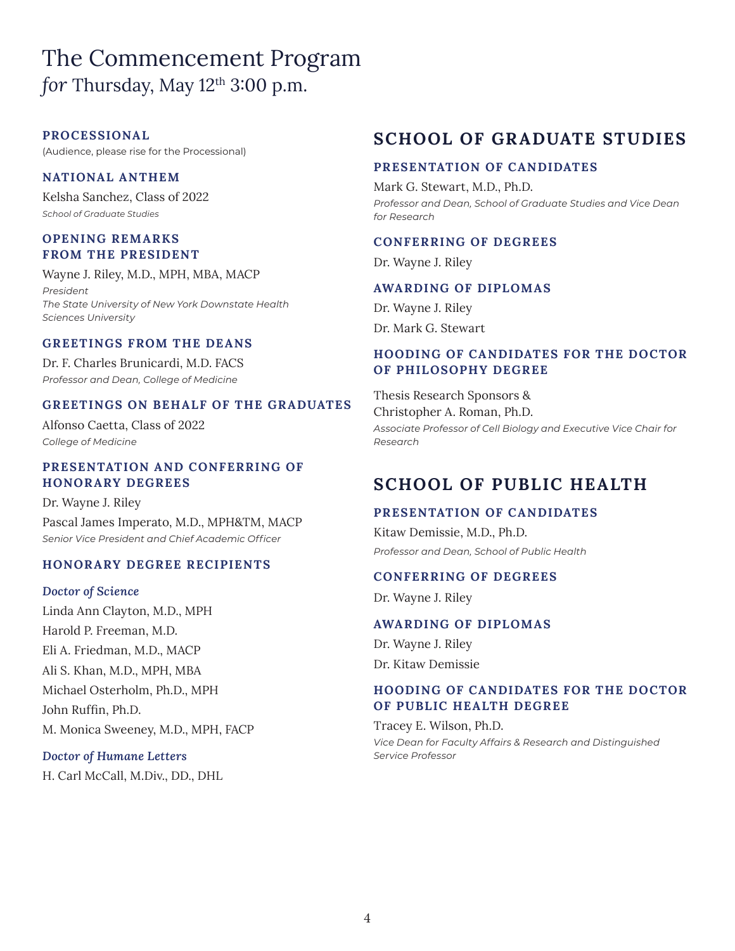## The Commencement Program *for* Thursday, May  $12<sup>th</sup> 3:00$  p.m.

### **PROCESSIONAL**

(Audience, please rise for the Processional)

### **NATIONAL ANTHEM**

Kelsha Sanchez, Class of 2022 *School of Graduate Studies*

### **OPENING REMARKS FROM THE PRESIDENT**

Wayne J. Riley, M.D., MPH, MBA, MACP *President The State University of New York Downstate Health Sciences University*

### **GREETINGS FROM THE DEANS**

Dr. F. Charles Brunicardi, M.D. FACS *Professor and Dean, College of Medicine* 

### **GREETINGS ON BEHALF OF THE GRADUATES**

Alfonso Caetta, Class of 2022 *College of Medicine*

### **PRESENTATION AND CONFERRING OF HONORARY DEGREES**

Dr. Wayne J. Riley Pascal James Imperato, M.D., MPH&TM, MACP *Senior Vice President and Chief Academic Officer*

### **HONORARY DEGREE RECIPIENTS**

### *Doctor of Science*

Linda Ann Clayton, M.D., MPH Harold P. Freeman, M.D. Eli A. Friedman, M.D., MACP Ali S. Khan, M.D., MPH, MBA Michael Osterholm, Ph.D., MPH John Ruffin, Ph.D. M. Monica Sweeney, M.D., MPH, FACP

### *Doctor of Humane Letters*

H. Carl McCall, M.Div., DD., DHL

## **SCHOOL OF GRADUATE STUDIES**

### **PRESENTATION OF CANDIDATES**

Mark G. Stewart, M.D., Ph.D. *Professor and Dean, School of Graduate Studies and Vice Dean for Research*

### **CONFERRING OF DEGREES**

Dr. Wayne J. Riley

### **AWARDING OF DIPLOMAS**

Dr. Wayne J. Riley Dr. Mark G. Stewart

### **HOODING OF CANDIDATES FOR THE DOCTOR OF PHILOSOPHY DEGREE**

Thesis Research Sponsors & Christopher A. Roman, Ph.D. *Associate Professor of Cell Biology and Executive Vice Chair for Research* 

## **SCHOOL OF PUBLIC HEALTH**

### **PRESENTATION OF CANDIDATES**

Kitaw Demissie, M.D., Ph.D. *Professor and Dean, School of Public Health* 

### **CONFERRING OF DEGREES**

Dr. Wayne J. Riley

### **AWARDING OF DIPLOMAS**

Dr. Wayne J. Riley Dr. Kitaw Demissie

### **HOODING OF CANDIDATES FOR THE DOCTOR OF PUBLIC HEALTH DEGREE**

Tracey E. Wilson, Ph.D. *Vice Dean for Faculty Affairs & Research and Distinguished Service Professor*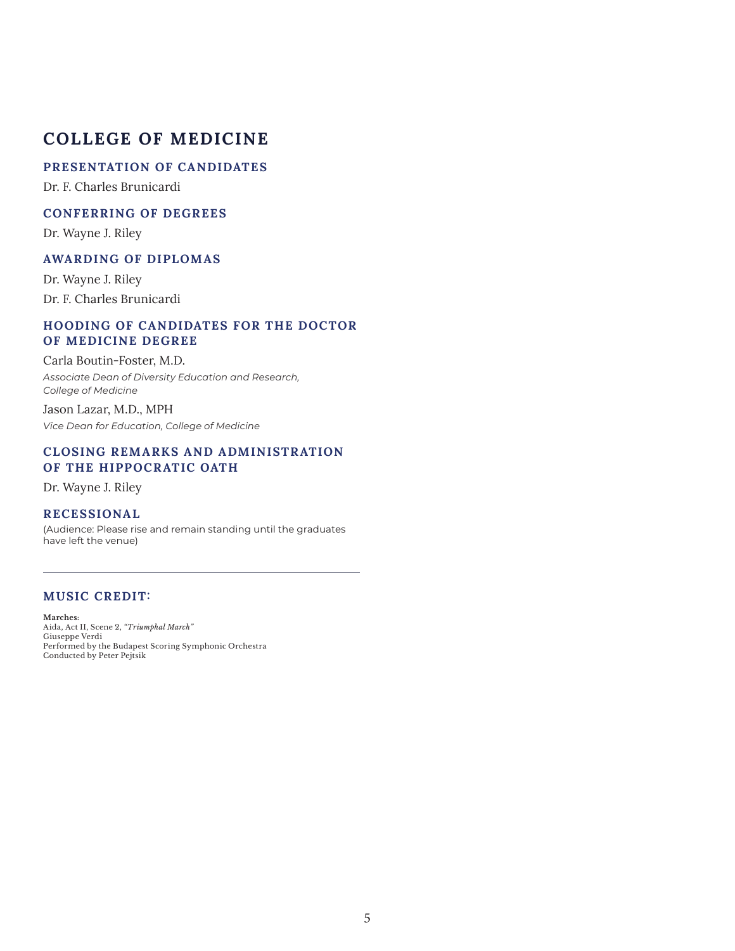### **PRESENTATION OF CANDIDATES**

Dr. F. Charles Brunicardi

### **CONFERRING OF DEGREES**

Dr. Wayne J. Riley

### **AWARDING OF DIPLOMAS**

Dr. Wayne J. Riley Dr. F. Charles Brunicardi

### **HOODING OF CANDIDATES FOR THE DOCTOR OF MEDICINE DEGREE**

#### Carla Boutin-Foster, M.D.

*Associate Dean of Diversity Education and Research, College of Medicine*

Jason Lazar, M.D., MPH *Vice Dean for Education, College of Medicine*

### **CLOSING REMARKS AND ADMINISTR ATION OF THE HIPPOCRATIC OATH**

Dr. Wayne J. Riley

### **RECESSIONAL**

(Audience: Please rise and remain standing until the graduates have left the venue)

### **MUSIC CREDIT:**

Conducted by Peter Pejtsik

**Marches:** Aida, Act II, Scene 2, *"Triumphal March"* Giuseppe Verdi Performed by the Budapest Scoring Symphonic Orchestra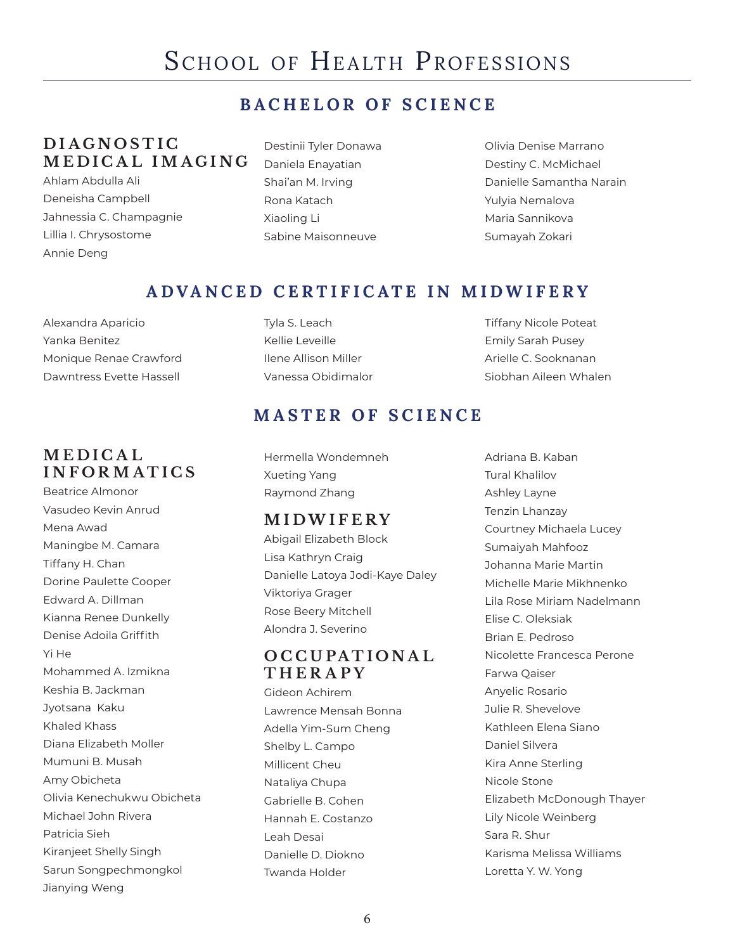## SCHOOL OF HEALTH PROFESSIONS

## **BACHELOR OF SCIENCE**

## **D I A G N O S T I C MEDICAL IMAGING**

- Ahlam Abdulla Ali Deneisha Campbell Jahnessia C. Champagnie Lillia I. Chrysostome Annie Deng
- Destinii Tyler Donawa Daniela Enayatian Shai'an M. Irving Rona Katach Xiaoling Li Sabine Maisonneuve

Olivia Denise Marrano Destiny C. McMichael Danielle Samantha Narain Yulyia Nemalova Maria Sannikova Sumayah Zokari

## **ADVANCED CERTIFICATE IN MIDWIFERY**

Alexandra Aparicio Yanka Benitez Monique Renae Crawford Dawntress Evette Hassell

## **M E D I C A L INFORMATICS**

Beatrice Almonor Vasudeo Kevin Anrud Mena Awad Maningbe M. Camara Tiffany H. Chan Dorine Paulette Cooper Edward A. Dillman Kianna Renee Dunkelly Denise Adoila Griffith Yi He Mohammed A. Izmikna Keshia B. Jackman Jyotsana Kaku Khaled Khass Diana Elizabeth Moller Mumuni B. Musah Amy Obicheta Olivia Kenechukwu Obicheta Michael John Rivera Patricia Sieh Kiranjeet Shelly Singh Sarun Songpechmongkol Jianying Weng

Tyla S. Leach Kellie Leveille Ilene Allison Miller Vanessa Obidimalor Tiffany Nicole Poteat Emily Sarah Pusey Arielle C. Sooknanan Siobhan Aileen Whalen

## **MASTER OF SCIENCE**

Hermella Wondemneh Xueting Yang Raymond Zhang

### **MIDWIFERY**

Abigail Elizabeth Block Lisa Kathryn Craig Danielle Latoya Jodi-Kaye Daley Viktoriya Grager Rose Beery Mitchell Alondra J. Severino

## **O C C U PA T I O N A L THERAPY**

Gideon Achirem Lawrence Mensah Bonna Adella Yim-Sum Cheng Shelby L. Campo Millicent Cheu Nataliya Chupa Gabrielle B. Cohen Hannah E. Costanzo Leah Desai Danielle D. Diokno Twanda Holder

Adriana B. Kaban Tural Khalilov Ashley Layne Tenzin Lhanzay Courtney Michaela Lucey Sumaiyah Mahfooz Johanna Marie Martin Michelle Marie Mikhnenko Lila Rose Miriam Nadelmann Elise C. Oleksiak Brian E. Pedroso Nicolette Francesca Perone Farwa Qaiser Anyelic Rosario Julie R. Shevelove Kathleen Elena Siano Daniel Silvera Kira Anne Sterling Nicole Stone Elizabeth McDonough Thayer Lily Nicole Weinberg Sara R. Shur Karisma Melissa Williams Loretta Y. W. Yong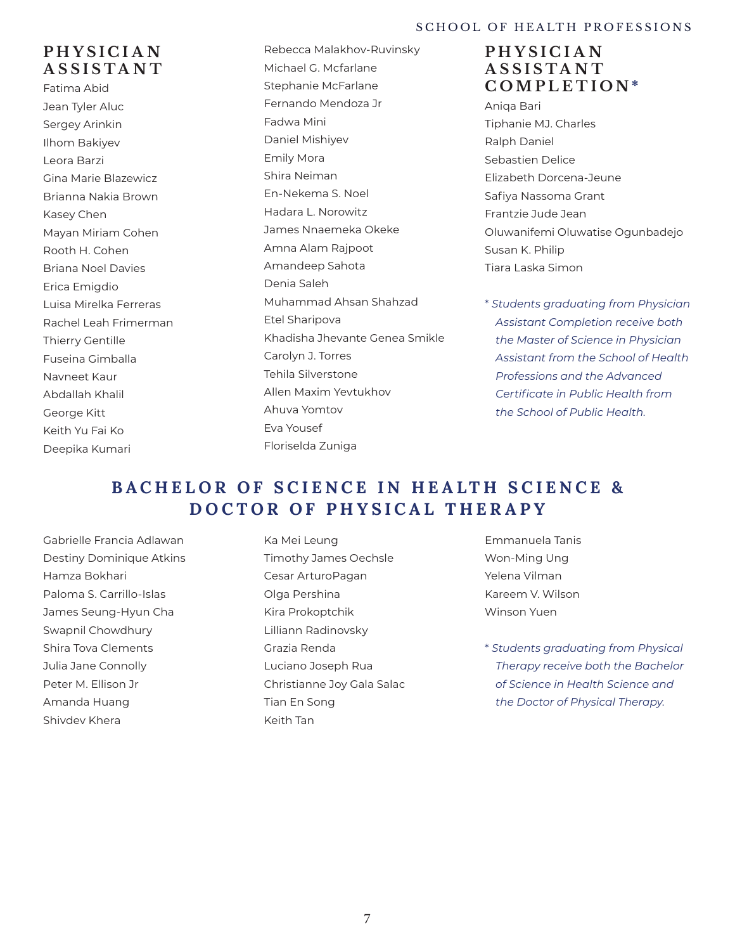### SCHOOL OF HEALTH PROFESSIONS

## **P H Y S I C I A N ASSISTANT**

Fatima Abid Jean Tyler Aluc Sergey Arinkin Ilhom Bakiyev Leora Barzi Gina Marie Blazewicz Brianna Nakia Brown Kasey Chen Mayan Miriam Cohen Rooth H. Cohen Briana Noel Davies Erica Emigdio Luisa Mirelka Ferreras Rachel Leah Frimerman Thierry Gentille Fuseina Gimballa Navneet Kaur Abdallah Khalil George Kitt Keith Yu Fai Ko Deepika Kumari

Rebecca Malakhov-Ruvinsky Michael G. Mcfarlane Stephanie McFarlane Fernando Mendoza Jr Fadwa Mini Daniel Mishiyev Emily Mora Shira Neiman En-Nekema S. Noel Hadara L. Norowitz James Nnaemeka Okeke Amna Alam Rajpoot Amandeep Sahota Denia Saleh Muhammad Ahsan Shahzad Etel Sharipova Khadisha Jhevante Genea Smikle Carolyn J. Torres Tehila Silverstone Allen Maxim Yevtukhov Ahuva Yomtov Eva Yousef Floriselda Zuniga

### **P H Y S I C I A N A S S I S T A N T COMPLETION \***

- Aniqa Bari Tiphanie MJ. Charles Ralph Daniel Sebastien Delice Elizabeth Dorcena-Jeune Safiya Nassoma Grant Frantzie Jude Jean Oluwanifemi Oluwatise Ogunbadejo Susan K. Philip Tiara Laska Simon
- \* *Students graduating from Physician Assistant Completion receive both the Master of Science in Physician Assistant from the School of Health Professions and the Advanced Certificate in Public Health from the School of Public Health.*

## **BACHELOR OF SCIENCE IN HEALTH SCIENCE & DOCTOR OF PHYSICAL THERAPY**

Gabrielle Francia Adlawan Destiny Dominique Atkins Hamza Bokhari Paloma S. Carrillo-Islas James Seung-Hyun Cha Swapnil Chowdhury Shira Tova Clements Julia Jane Connolly Peter M. Ellison Jr Amanda Huang Shivdev Khera

- Ka Mei Leung Timothy James Oechsle Cesar ArturoPagan Olga Pershina Kira Prokoptchik Lilliann Radinovsky Grazia Renda Luciano Joseph Rua Christianne Joy Gala Salac Tian En Song Keith Tan
- Emmanuela Tanis Won-Ming Ung Yelena Vilman Kareem V. Wilson Winson Yuen
- \* *Students graduating from Physical Therapy receive both the Bachelor of Science in Health Science and the Doctor of Physical Therapy.*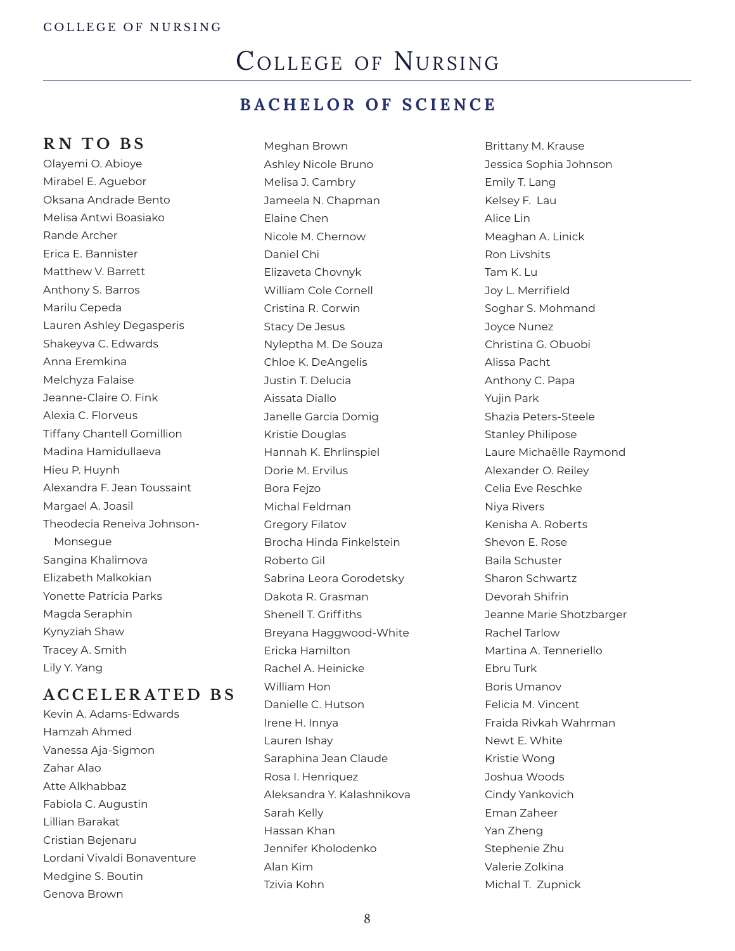## COLLEGE OF NURSING

## **BACHELOR OF SCIENCE**

## **RN TO BS**

Olayemi O. Abioye Mirabel E. Aguebor Oksana Andrade Bento Melisa Antwi Boasiako Rande Archer Erica E. Bannister Matthew V. Barrett Anthony S. Barros Marilu Cepeda Lauren Ashley Degasperis Shakeyva C. Edwards Anna Eremkina Melchyza Falaise Jeanne-Claire O. Fink Alexia C. Florveus Tiffany Chantell Gomillion Madina Hamidullaeva Hieu P. Huynh Alexandra F. Jean Toussaint Margael A. Joasil Theodecia Reneiva Johnson-Monsegue Sangina Khalimova Elizabeth Malkokian Yonette Patricia Parks Magda Seraphin Kynyziah Shaw Tracey A. Smith Lily Y. Yang

### **ACCELERATED BS**

Kevin A. Adams-Edwards Hamzah Ahmed Vanessa Aja-Sigmon Zahar Alao Atte Alkhabbaz Fabiola C. Augustin Lillian Barakat Cristian Bejenaru Lordani Vivaldi Bonaventure Medgine S. Boutin Genova Brown

Meghan Brown Ashley Nicole Bruno Melisa J. Cambry Jameela N. Chapman Elaine Chen Nicole M. Chernow Daniel Chi Elizaveta Chovnyk William Cole Cornell Cristina R. Corwin Stacy De Jesus Nyleptha M. De Souza Chloe K. DeAngelis Justin T. Delucia Aissata Diallo Janelle Garcia Domig Kristie Douglas Hannah K. Ehrlinspiel Dorie M. Ervilus Bora Fejzo Michal Feldman Gregory Filatov Brocha Hinda Finkelstein Roberto Gil Sabrina Leora Gorodetsky Dakota R. Grasman Shenell T. Griffiths Breyana Haggwood-White Ericka Hamilton Rachel A. Heinicke William Hon Danielle C. Hutson Irene H. Innya Lauren Ishay Saraphina Jean Claude Rosa I. Henriquez Aleksandra Y. Kalashnikova Sarah Kelly Hassan Khan Jennifer Kholodenko Alan Kim

Brittany M. Krause Jessica Sophia Johnson Emily T. Lang Kelsey F. Lau Alice Lin Meaghan A. Linick Ron Livshits Tam K. Lu Joy L. Merrifield Soghar S. Mohmand Joyce Nunez Christina G. Obuobi Alissa Pacht Anthony C. Papa Yujin Park Shazia Peters-Steele Stanley Philipose Laure Michaëlle Raymond Alexander O. Reiley Celia Eve Reschke Niya Rivers Kenisha A. Roberts Shevon E. Rose Baila Schuster Sharon Schwartz Devorah Shifrin Jeanne Marie Shotzbarger Rachel Tarlow Martina A. Tenneriello Ebru Turk Boris Umanov Felicia M. Vincent Fraida Rivkah Wahrman Newt E. White Kristie Wong Joshua Woods Cindy Yankovich Eman Zaheer Yan Zheng Stephenie Zhu Valerie Zolkina Michal T. Zupnick

Tzivia Kohn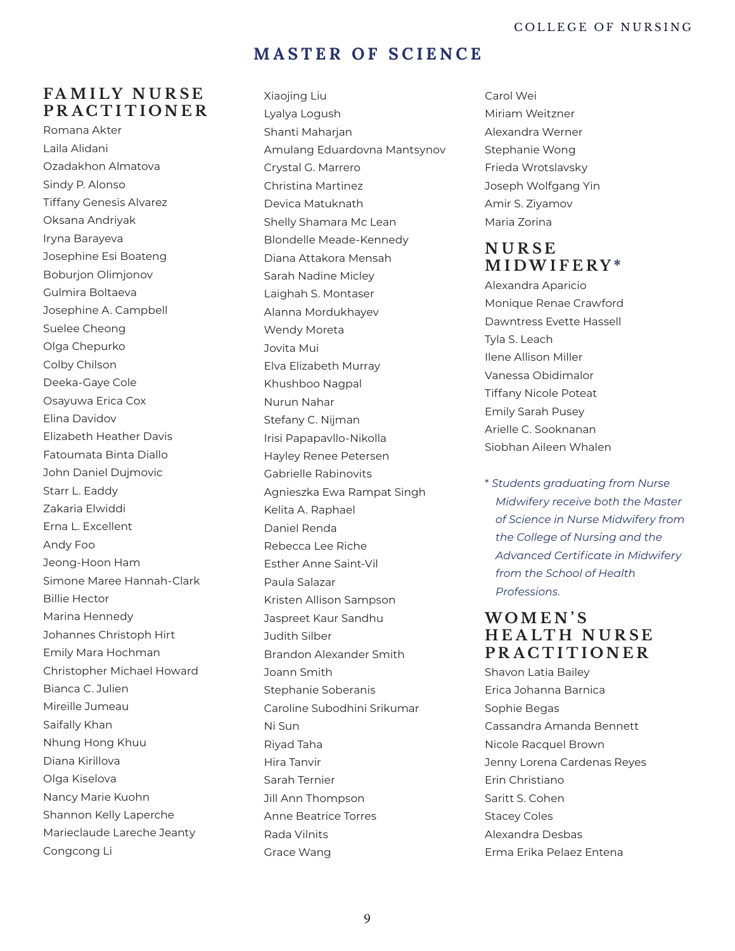### **MASTER OF SCIENCE**

### **FA M I LY N U R S E PRACTITIONER**

Romana Akter Laila Alidani Ozadakhon Almatova Sindy P. Alonso Tiffany Genesis Alvarez Oksana Andriyak Iryna Barayeva Josephine Esi Boateng Boburjon Olimjonov Gulmira Boltaeva Josephine A. Campbell Suelee Cheong Olga Chepurko Colby Chilson Deeka-Gaye Cole Osayuwa Erica Cox Elina Davidov Elizabeth Heather Davis Fatoumata Binta Diallo John Daniel Dujmovic Starr L. Eaddy Zakaria Elwiddi Erna L. Excellent Andy Foo Jeong-Hoon Ham Simone Maree Hannah-Clark Billie Hector Marina Hennedy Johannes Christoph Hirt Emily Mara Hochman Christopher Michael Howard Bianca C. Julien Mireille Jumeau Saifally Khan Nhung Hong Khuu Diana Kirillova Olga Kiselova Nancy Marie Kuohn Shannon Kelly Laperche Marieclaude Lareche Jeanty Congcong Li

Xiaojing Liu Lyalya Logush Shanti Maharjan Amulang Eduardovna Mantsynov Crystal G. Marrero Christina Martinez Devica Matuknath Shelly Shamara Mc Lean Blondelle Meade-Kennedy Diana Attakora Mensah Sarah Nadine Micley Laighah S. Montaser Alanna Mordukhayev Wendy Moreta Jovita Mui Elva Elizabeth Murray Khushboo Nagpal Nurun Nahar Stefany C. Nijman Irisi Papapavllo-Nikolla Hayley Renee Petersen Gabrielle Rabinovits Agnieszka Ewa Rampat Singh Kelita A. Raphael Daniel Renda Rebecca Lee Riche Esther Anne Saint-Vil Paula Salazar Kristen Allison Sampson Jaspreet Kaur Sandhu Judith Silber Brandon Alexander Smith Joann Smith Stephanie Soberanis Caroline Subodhini Srikumar Ni Sun Riyad Taha Hira Tanvir Sarah Ternier Jill Ann Thompson Anne Beatrice Torres Rada Vilnits Grace Wang

Carol Wei Miriam Weitzner Alexandra Werner Stephanie Wong Frieda Wrotslavsky Joseph Wolfgang Yin Amir S. Ziyamov Maria Zorina

### **N U R S E MIDWIFERY \***

- Alexandra Aparicio Monique Renae Crawford Dawntress Evette Hassell Tyla S. Leach Ilene Allison Miller Vanessa Obidimalor Tiffany Nicole Poteat Emily Sarah Pusey Arielle C. Sooknanan Siobhan Aileen Whalen
- \* *Students graduating from Nurse Midwifery receive both the Master of Science in Nurse Midwifery from the College of Nursing and the Advanced Certificate in Midwifery from the School of Health Professions.*

### **W O M E N ' S H E A LT H N U R S E PRACTITIONER**

Shavon Latia Bailey Erica Johanna Barnica Sophie Begas Cassandra Amanda Bennett Nicole Racquel Brown Jenny Lorena Cardenas Reyes Erin Christiano Saritt S. Cohen Stacey Coles Alexandra Desbas Erma Erika Pelaez Entena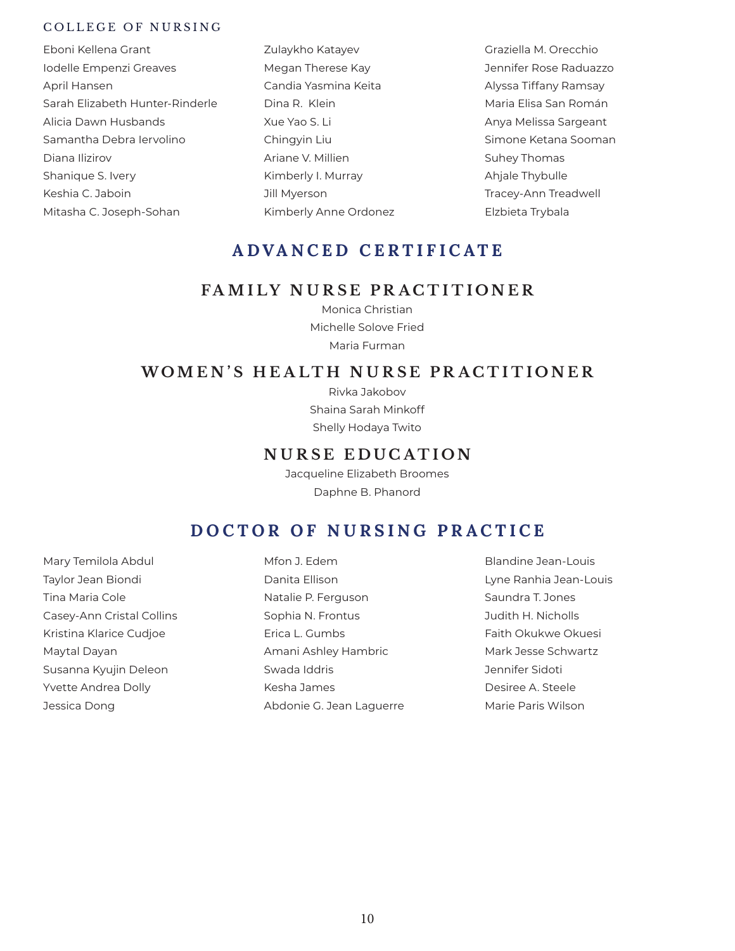### COLLEGE OF NURSING

- Eboni Kellena Grant Iodelle Empenzi Greaves April Hansen Sarah Elizabeth Hunter-Rinderle Alicia Dawn Husbands Samantha Debra Iervolino Diana Ilizirov Shanique S. Ivery Keshia C. Jaboin Mitasha C. Joseph-Sohan
- Zulaykho Katayev Megan Therese Kay Candia Yasmina Keita Dina R. Klein Xue Yao S. Li Chingyin Liu Ariane V. Millien Kimberly I. Murray Jill Myerson Kimberly Anne Ordonez
- Graziella M. Orecchio Jennifer Rose Raduazzo Alyssa Tiffany Ramsay Maria Elisa San Román Anya Melissa Sargeant Simone Ketana Sooman Suhey Thomas Ahjale Thybulle Tracey-Ann Treadwell Elzbieta Trybala

## **ADVANCED CERTIFICATE**

### **FAMILY NURSE PR ACTITIONER**

Monica Christian Michelle Solove Fried Maria Furman

### **WOMEN'S HEALTH NURSE PR ACTITIONER**

Rivka Jakobov Shaina Sarah Minkoff Shelly Hodaya Twito

### **NURSE EDUCATION**

Jacqueline Elizabeth Broomes Daphne B. Phanord

## **DOCTOR OF NURSING PRACTICE**

Mary Temilola Abdul Taylor Jean Biondi Tina Maria Cole Casey-Ann Cristal Collins Kristina Klarice Cudjoe Maytal Dayan Susanna Kyujin Deleon Yvette Andrea Dolly Jessica Dong

Mfon J. Edem Danita Ellison Natalie P. Ferguson Sophia N. Frontus Erica L. Gumbs Amani Ashley Hambric Swada Iddris Kesha James Abdonie G. Jean Laguerre Blandine Jean-Louis Lyne Ranhia Jean-Louis Saundra T. Jones Judith H. Nicholls Faith Okukwe Okuesi Mark Jesse Schwartz Jennifer Sidoti Desiree A. Steele Marie Paris Wilson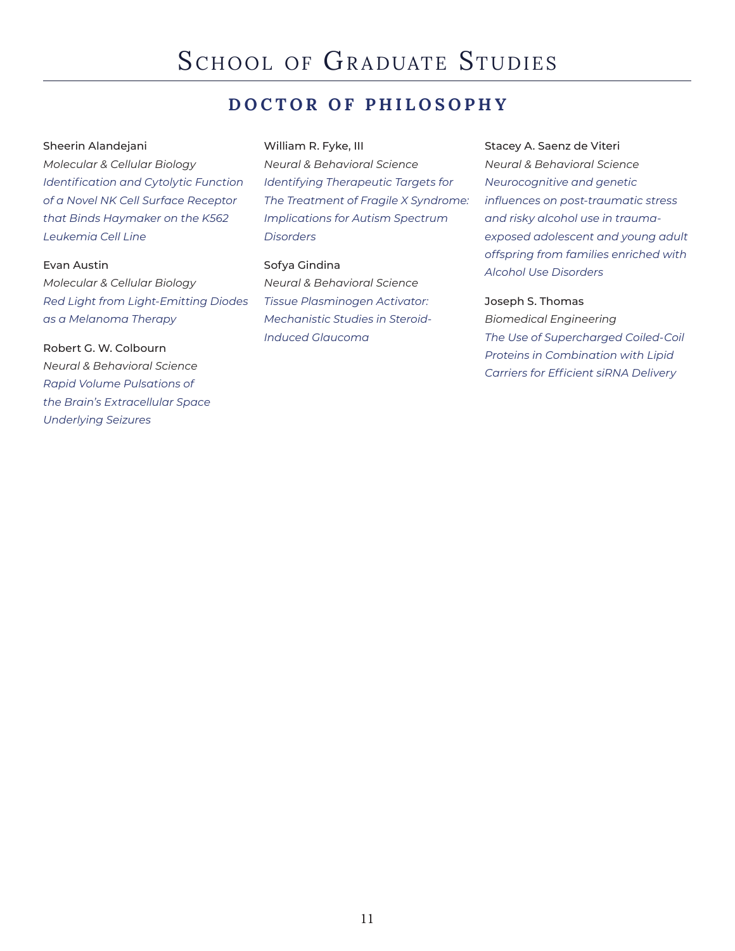## **DOCTOR OF PHILOSOPHY**

### Sheerin Alandejani

*Molecular & Cellular Biology Identification and Cytolytic Function of a Novel NK Cell Surface Receptor that Binds Haymaker on the K562 Leukemia Cell Line*

### Evan Austin

*Molecular & Cellular Biology Red Light from Light-Emitting Diodes as a Melanoma Therapy*

Robert G. W. Colbourn *Neural & Behavioral Science Rapid Volume Pulsations of the Brain's Extracellular Space Underlying Seizures*

### William R. Fyke, III

*Neural & Behavioral Science Identifying Therapeutic Targets for The Treatment of Fragile X Syndrome: Implications for Autism Spectrum Disorders*

### Sofya Gindina

*Neural & Behavioral Science Tissue Plasminogen Activator: Mechanistic Studies in Steroid-Induced Glaucoma*

### Stacey A. Saenz de Viteri

*Neural & Behavioral Science Neurocognitive and genetic influences on post-traumatic stress and risky alcohol use in traumaexposed adolescent and young adult offspring from families enriched with Alcohol Use Disorders*

### Joseph S. Thomas

*Biomedical Engineering The Use of Supercharged Coiled-Coil Proteins in Combination with Lipid Carriers for Efficient siRNA Delivery*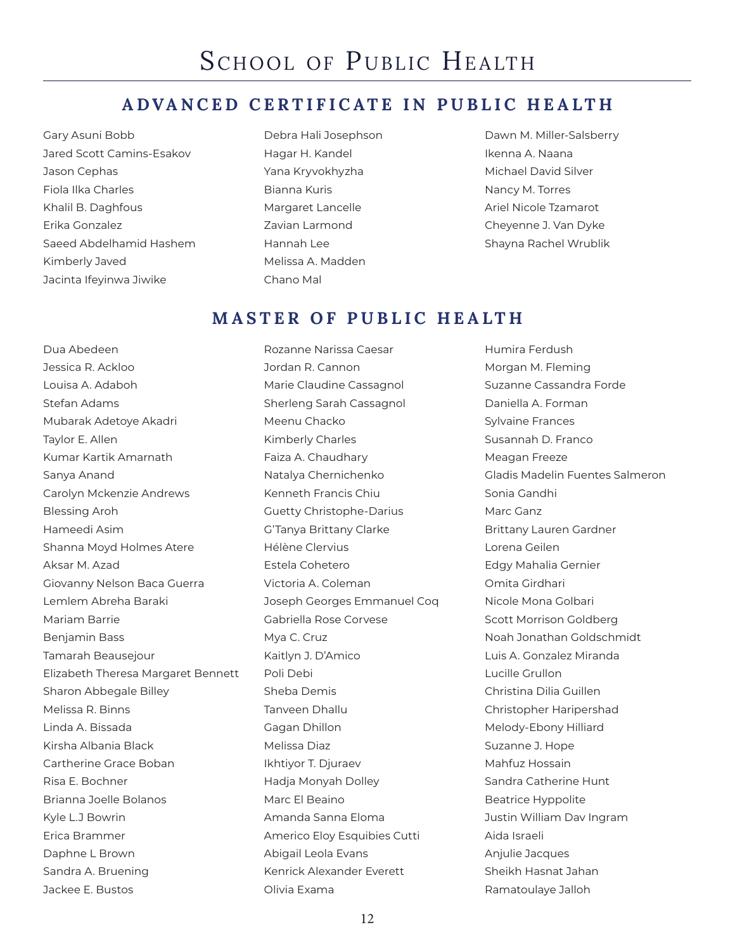## **ADVANCED CERTIFICATE IN PUBLIC HEALTH**

- Gary Asuni Bobb Jared Scott Camins-Esakov Jason Cephas Fiola Ilka Charles Khalil B. Daghfous Erika Gonzalez Saeed Abdelhamid Hashem Kimberly Javed Jacinta Ifeyinwa Jiwike
- Debra Hali Josephson Hagar H. Kandel Yana Kryvokhyzha Bianna Kuris Margaret Lancelle Zavian Larmond Hannah Lee Melissa A. Madden Chano Mal

Dawn M. Miller-Salsberry Ikenna A. Naana Michael David Silver Nancy M. Torres Ariel Nicole Tzamarot Cheyenne J. Van Dyke Shayna Rachel Wrublik

## **MASTER OF PUBLIC HEALTH**

Dua Abedeen Jessica R. Ackloo Louisa A. Adaboh Stefan Adams Mubarak Adetoye Akadri Taylor E. Allen Kumar Kartik Amarnath Sanya Anand Carolyn Mckenzie Andrews Blessing Aroh Hameedi Asim Shanna Moyd Holmes Atere Aksar M. Azad Giovanny Nelson Baca Guerra Lemlem Abreha Baraki Mariam Barrie Benjamin Bass Tamarah Beausejour Elizabeth Theresa Margaret Bennett Sharon Abbegale Billey Melissa R. Binns Linda A. Bissada Kirsha Albania Black Cartherine Grace Boban Risa E. Bochner Brianna Joelle Bolanos Kyle L.J Bowrin Erica Brammer Daphne L Brown Sandra A. Bruening Jackee E. Bustos

Rozanne Narissa Caesar Jordan R. Cannon Marie Claudine Cassagnol Sherleng Sarah Cassagnol Meenu Chacko Kimberly Charles Faiza A. Chaudhary Natalya Chernichenko Kenneth Francis Chiu Guetty Christophe-Darius G'Tanya Brittany Clarke Hélène Clervius Estela Cohetero Victoria A. Coleman Joseph Georges Emmanuel Coq Gabriella Rose Corvese Mya C. Cruz Kaitlyn J. D'Amico Poli Debi Sheba Demis Tanveen Dhallu Gagan Dhillon Melissa Diaz Ikhtiyor T. Djuraev Hadja Monyah Dolley Marc El Beaino Amanda Sanna Eloma Americo Eloy Esquibies Cutti Abigail Leola Evans Kenrick Alexander Everett Olivia Exama

Humira Ferdush Morgan M. Fleming Suzanne Cassandra Forde Daniella A. Forman Sylvaine Frances Susannah D. Franco Meagan Freeze Gladis Madelin Fuentes Salmeron Sonia Gandhi Marc Ganz Brittany Lauren Gardner Lorena Geilen Edgy Mahalia Gernier Omita Girdhari Nicole Mona Golbari Scott Morrison Goldberg Noah Jonathan Goldschmidt Luis A. Gonzalez Miranda Lucille Grullon Christina Dilia Guillen Christopher Haripershad Melody-Ebony Hilliard Suzanne J. Hope Mahfuz Hossain Sandra Catherine Hunt Beatrice Hyppolite Justin William Dav Ingram Aida Israeli Anjulie Jacques Sheikh Hasnat Jahan Ramatoulaye Jalloh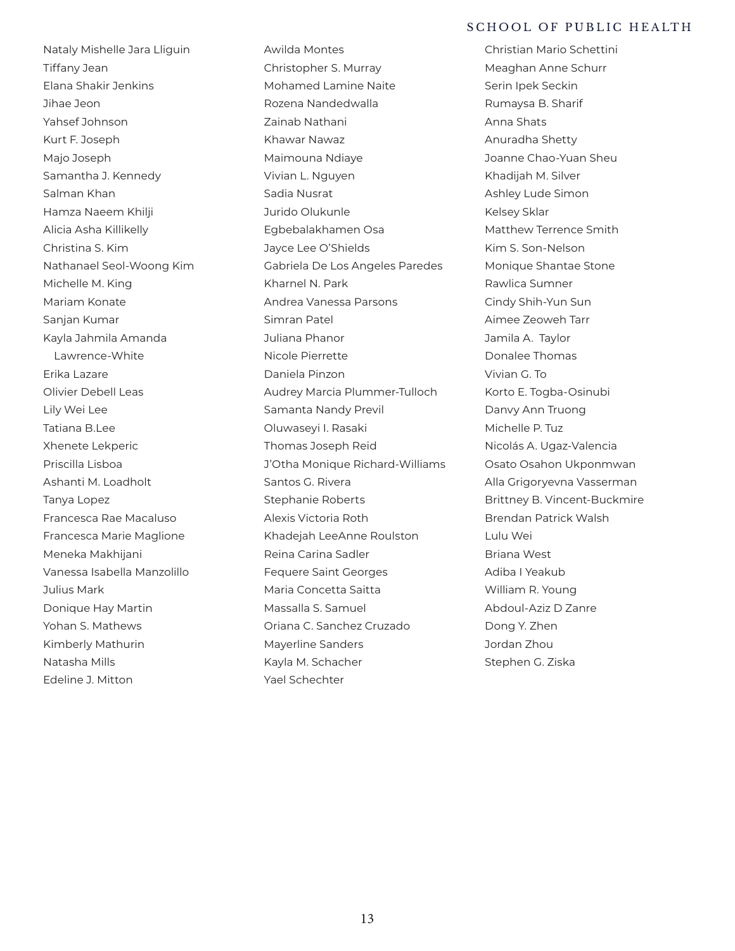SCHOOL OF PUBLIC HEALTH

Christian Mario Schettini

Nataly Mishelle Jara Lliguin Tiffany Jean Elana Shakir Jenkins Jihae Jeon Yahsef Johnson Kurt F. Joseph Majo Joseph Samantha J. Kennedy Salman Khan Hamza Naeem Khilji Alicia Asha Killikelly Christina S. Kim Nathanael Seol-Woong Kim Michelle M. King Mariam Konate Sanjan Kumar Kayla Jahmila Amanda Lawrence-White Erika Lazare Olivier Debell Leas Lily Wei Lee Tatiana B.Lee Xhenete Lekperic Priscilla Lisboa Ashanti M. Loadholt Tanya Lopez Francesca Rae Macaluso Francesca Marie Maglione Meneka Makhijani Vanessa Isabella Manzolillo Julius Mark Donique Hay Martin Yohan S. Mathews Kimberly Mathurin Natasha Mills Edeline J. Mitton

Awilda Montes Christopher S. Murray Mohamed Lamine Naite Rozena Nandedwalla Zainab Nathani Khawar Nawaz Maimouna Ndiaye Vivian L. Nguyen Sadia Nusrat Jurido Olukunle Egbebalakhamen Osa Jayce Lee O'Shields Gabriela De Los Angeles Paredes Kharnel N. Park Andrea Vanessa Parsons Simran Patel Juliana Phanor Nicole Pierrette Daniela Pinzon Audrey Marcia Plummer-Tulloch Samanta Nandy Previl Oluwaseyi I. Rasaki Thomas Joseph Reid J'Otha Monique Richard-Williams Santos G. Rivera Stephanie Roberts Alexis Victoria Roth Khadejah LeeAnne Roulston Reina Carina Sadler Fequere Saint Georges Maria Concetta Saitta Massalla S. Samuel Oriana C. Sanchez Cruzado Mayerline Sanders Kayla M. Schacher Yael Schechter

Meaghan Anne Schurr Serin Ipek Seckin Rumaysa B. Sharif Anna Shats Anuradha Shetty Joanne Chao-Yuan Sheu Khadijah M. Silver Ashley Lude Simon Kelsey Sklar Matthew Terrence Smith Kim S. Son-Nelson Monique Shantae Stone Rawlica Sumner Cindy Shih-Yun Sun Aimee Zeoweh Tarr Jamila A. Taylor Donalee Thomas Vivian G. To Korto E. Togba-Osinubi Danvy Ann Truong Michelle P. Tuz Nicolás A. Ugaz-Valencia Osato Osahon Ukponmwan Alla Grigoryevna Vasserman Brittney B. Vincent-Buckmire Brendan Patrick Walsh Lulu Wei Briana West Adiba I Yeakub William R. Young Abdoul-Aziz D Zanre Dong Y. Zhen Jordan Zhou Stephen G. Ziska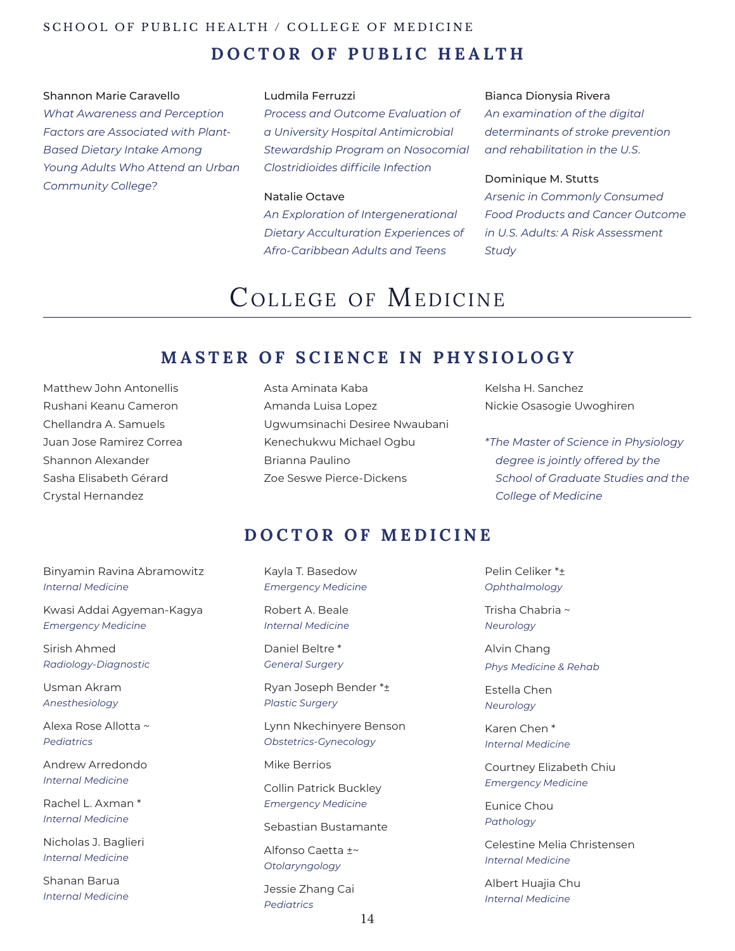## SCHOOL OF PUBLIC HEALTH / COLLEGE OF MEDICINE **DOCTOR OF PUBLIC HEALTH**

### Shannon Marie Caravello

*What Awareness and Perception Factors are Associated with Plant-Based Dietary Intake Among Young Adults Who Attend an Urban Community College?*

### Ludmila Ferruzzi

*Process and Outcome Evaluation of a University Hospital Antimicrobial Stewardship Program on Nosocomial Clostridioides difficile Infection*

### Natalie Octave

*An Exploration of Intergenerational Dietary Acculturation Experiences of Afro-Caribbean Adults and Teens*

#### Bianca Dionysia Rivera

*An examination of the digital determinants of stroke prevention and rehabilitation in the U.S.*

### Dominique M. Stutts

*Arsenic in Commonly Consumed Food Products and Cancer Outcome in U.S. Adults: A Risk Assessment Study*

## COLLEGE OF MEDICINE

## **MASTER OF SCIENCE IN PHYSIOLOGY**

Matthew John Antonellis Rushani Keanu Cameron Chellandra A. Samuels Juan Jose Ramirez Correa Shannon Alexander Sasha Elisabeth Gérard Crystal Hernandez

### Asta Aminata Kaba Amanda Luisa Lopez Ugwumsinachi Desiree Nwaubani Kenechukwu Michael Ogbu Brianna Paulino Zoe Seswe Pierce-Dickens

Kelsha H. Sanchez Nickie Osasogie Uwoghiren

*\*The Master of Science in Physiology degree is jointly offered by the School of Graduate Studies and the College of Medicine*

## **DOCTOR OF MEDICINE**

Binyamin Ravina Abramowitz *Internal Medicine*

Kwasi Addai Agyeman-Kagya *Emergency Medicine*

Sirish Ahmed *Radiology-Diagnostic*

Usman Akram *Anesthesiology*

Alexa Rose Allotta ~ *Pediatrics*

Andrew Arredondo *Internal Medicine*

Rachel L. Axman \* *Internal Medicine*

Nicholas J. Baglieri *Internal Medicine*

Shanan Barua *Internal Medicine* Kayla T. Basedow *Emergency Medicine*

Robert A. Beale *Internal Medicine*

Daniel Beltre \* *General Surgery*

Ryan Joseph Bender \*± *Plastic Surgery* 

Lynn Nkechinyere Benson *Obstetrics-Gynecology*

Mike Berrios

Collin Patrick Buckley *Emergency Medicine*

Sebastian Bustamante

Alfonso Caetta ±~ *Otolaryngology*

Jessie Zhang Cai *Pediatrics*

Pelin Celiker \*± *Ophthalmology*

Trisha Chabria ~ *Neurology*

Alvin Chang *Phys Medicine & Rehab*

Estella Chen *Neurology*

Karen Chen \* *Internal Medicine*

Courtney Elizabeth Chiu *Emergency Medicine*

Eunice Chou *Pathology*

Celestine Melia Christensen *Internal Medicine*

Albert Huajia Chu *Internal Medicine*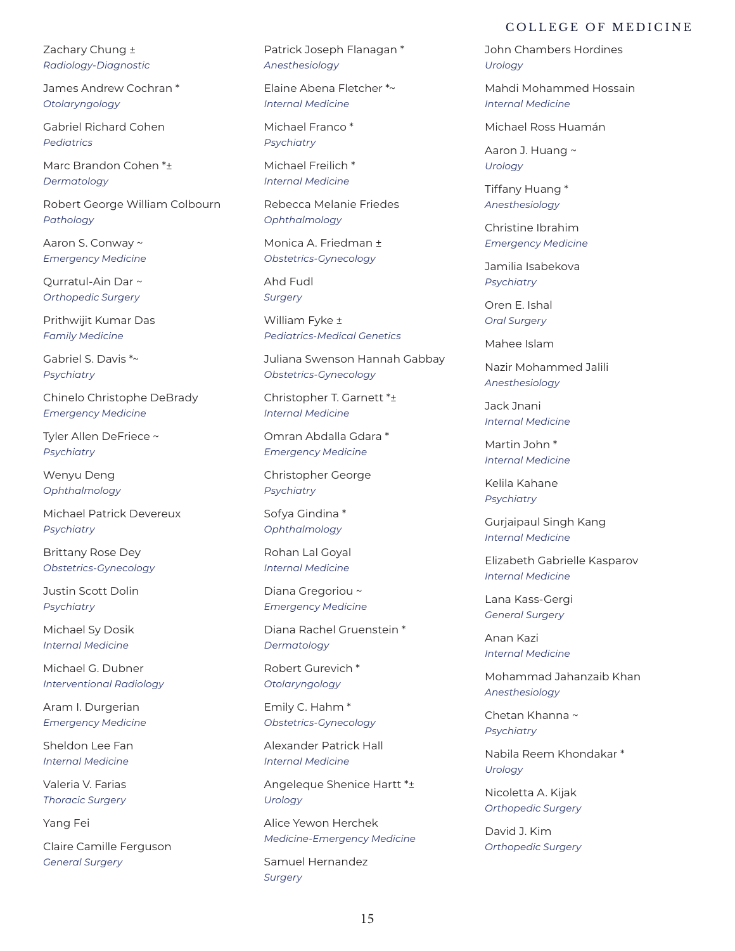Zachary Chung ± *Radiology-Diagnostic*

James Andrew Cochran \* *Otolaryngology*

Gabriel Richard Cohen *Pediatrics*

Marc Brandon Cohen \*± *Dermatology*

Robert George William Colbourn *Pathology*

Aaron S. Conway ~ *Emergency Medicine*

Qurratul-Ain Dar ~ *Orthopedic Surgery*

Prithwijit Kumar Das *Family Medicine*

Gabriel S. Davis \*~ *Psychiatry*

Chinelo Christophe DeBrady *Emergency Medicine*

Tyler Allen DeFriece ~ *Psychiatry*

Wenyu Deng *Ophthalmology*

Michael Patrick Devereux *Psychiatry*

Brittany Rose Dey *Obstetrics-Gynecology*

Justin Scott Dolin *Psychiatry*

Michael Sy Dosik *Internal Medicine*

Michael G. Dubner *Interventional Radiology*

Aram I. Durgerian *Emergency Medicine*

Sheldon Lee Fan *Internal Medicine*

Valeria V. Farias *Thoracic Surgery*

Yang Fei

Claire Camille Ferguson *General Surgery*

Patrick Joseph Flanagan \* *Anesthesiology*

Elaine Abena Fletcher \*~ *Internal Medicine*

Michael Franco \* *Psychiatry*

Michael Freilich \* *Internal Medicine*

Rebecca Melanie Friedes *Ophthalmology*

Monica A. Friedman ± *Obstetrics-Gynecology*

Ahd Fudl *Surgery*

William Fyke ± *Pediatrics-Medical Genetics*

Juliana Swenson Hannah Gabbay *Obstetrics-Gynecology*

Christopher T. Garnett \*± *Internal Medicine*

Omran Abdalla Gdara \* *Emergency Medicine*

Christopher George *Psychiatry*

Sofya Gindina \* *Ophthalmology*

Rohan Lal Goyal *Internal Medicine*

Diana Gregoriou ~ *Emergency Medicine*

Diana Rachel Gruenstein \* *Dermatology*

Robert Gurevich \* *Otolaryngology*

Emily C. Hahm \* *Obstetrics-Gynecology*

Alexander Patrick Hall *Internal Medicine*

Angeleque Shenice Hartt \*± *Urology*

Alice Yewon Herchek *Medicine-Emergency Medicine*

Samuel Hernandez *Surgery*

John Chambers Hordines *Urology*

Mahdi Mohammed Hossain *Internal Medicine*

Michael Ross Huamán

Aaron J. Huang ~ *Urology*

Tiffany Huang \* *Anesthesiology*

Christine Ibrahim *Emergency Medicine*

Jamilia Isabekova *Psychiatry*

Oren E. Ishal *Oral Surgery*

Mahee Islam

Nazir Mohammed Jalili *Anesthesiology*

Jack Jnani *Internal Medicine*

Martin John \* *Internal Medicine*

Kelila Kahane *Psychiatry*

Gurjaipaul Singh Kang *Internal Medicine*

Elizabeth Gabrielle Kasparov *Internal Medicine*

Lana Kass-Gergi *General Surgery*

Anan Kazi *Internal Medicine*

Mohammad Jahanzaib Khan *Anesthesiology*

Chetan Khanna ~ *Psychiatry*

Nabila Reem Khondakar \* *Urology*

Nicoletta A. Kijak *Orthopedic Surgery*

David J. Kim *Orthopedic Surgery*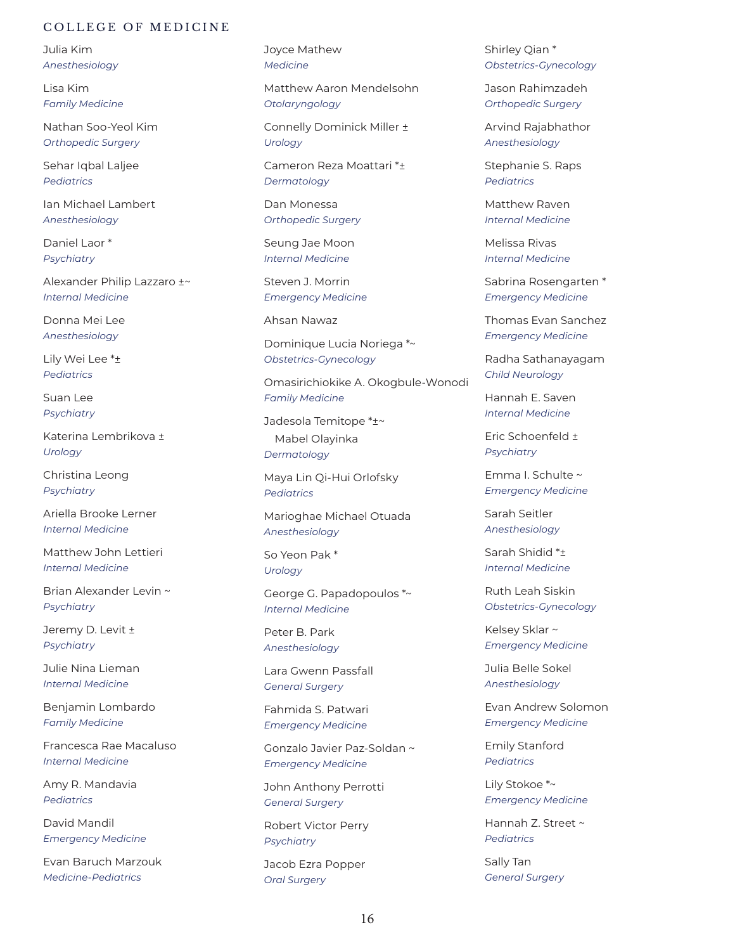Julia Kim *Anesthesiology*

Lisa Kim *Family Medicine*

Nathan Soo-Yeol Kim *Orthopedic Surgery*

Sehar Iqbal Laljee *Pediatrics*

Ian Michael Lambert *Anesthesiology*

Daniel Laor \* *Psychiatry*

Alexander Philip Lazzaro ±~ *Internal Medicine*

Donna Mei Lee *Anesthesiology*

Lily Wei Lee \*± *Pediatrics*

Suan Lee *Psychiatry*

Katerina Lembrikova ± *Urology*

Christina Leong *Psychiatry*

Ariella Brooke Lerner *Internal Medicine*

Matthew John Lettieri *Internal Medicine*

Brian Alexander Levin ~ *Psychiatry*

Jeremy D. Levit ± *Psychiatry*

Julie Nina Lieman *Internal Medicine*

Benjamin Lombardo *Family Medicine*

Francesca Rae Macaluso *Internal Medicine*

Amy R. Mandavia *Pediatrics*

David Mandil *Emergency Medicine*

Evan Baruch Marzouk *Medicine-Pediatrics*

Joyce Mathew *Medicine*

Matthew Aaron Mendelsohn *Otolaryngology*

Connelly Dominick Miller ± *Urology*

Cameron Reza Moattari \*± *Dermatology*

Dan Monessa *Orthopedic Surgery*

Seung Jae Moon *Internal Medicine*

Steven J. Morrin *Emergency Medicine*

Ahsan Nawaz

Dominique Lucia Noriega \*~ *Obstetrics-Gynecology*

Omasirichiokike A. Okogbule-Wonodi *Family Medicine*

Jadesola Temitope \*±~ Mabel Olayinka *Dermatology*

Maya Lin Qi-Hui Orlofsky *Pediatrics*

Marioghae Michael Otuada *Anesthesiology*

So Yeon Pak \* *Urology*

George G. Papadopoulos \*~ *Internal Medicine*

Peter B. Park *Anesthesiology*

Lara Gwenn Passfall *General Surgery*

Fahmida S. Patwari *Emergency Medicine*

Gonzalo Javier Paz-Soldan ~ *Emergency Medicine*

John Anthony Perrotti *General Surgery*

Robert Victor Perry *Psychiatry*

Jacob Ezra Popper *Oral Surgery*

Shirley Qian \* *Obstetrics-Gynecology*

Jason Rahimzadeh *Orthopedic Surgery*

Arvind Rajabhathor *Anesthesiology*

Stephanie S. Raps *Pediatrics*

Matthew Raven *Internal Medicine*

Melissa Rivas *Internal Medicine*

Sabrina Rosengarten \* *Emergency Medicine*

Thomas Evan Sanchez *Emergency Medicine*

Radha Sathanayagam *Child Neurology*

Hannah E. Saven *Internal Medicine*

Eric Schoenfeld ± *Psychiatry*

Emma I. Schulte ~ *Emergency Medicine*

Sarah Seitler *Anesthesiology*

Sarah Shidid \*± *Internal Medicine*

Ruth Leah Siskin *Obstetrics-Gynecology*

Kelsey Sklar ~ *Emergency Medicine*

Julia Belle Sokel *Anesthesiology*

Evan Andrew Solomon *Emergency Medicine*

Emily Stanford *Pediatrics*

Lily Stokoe \*~ *Emergency Medicine*

Hannah Z. Street ~ *Pediatrics*

Sally Tan *General Surgery*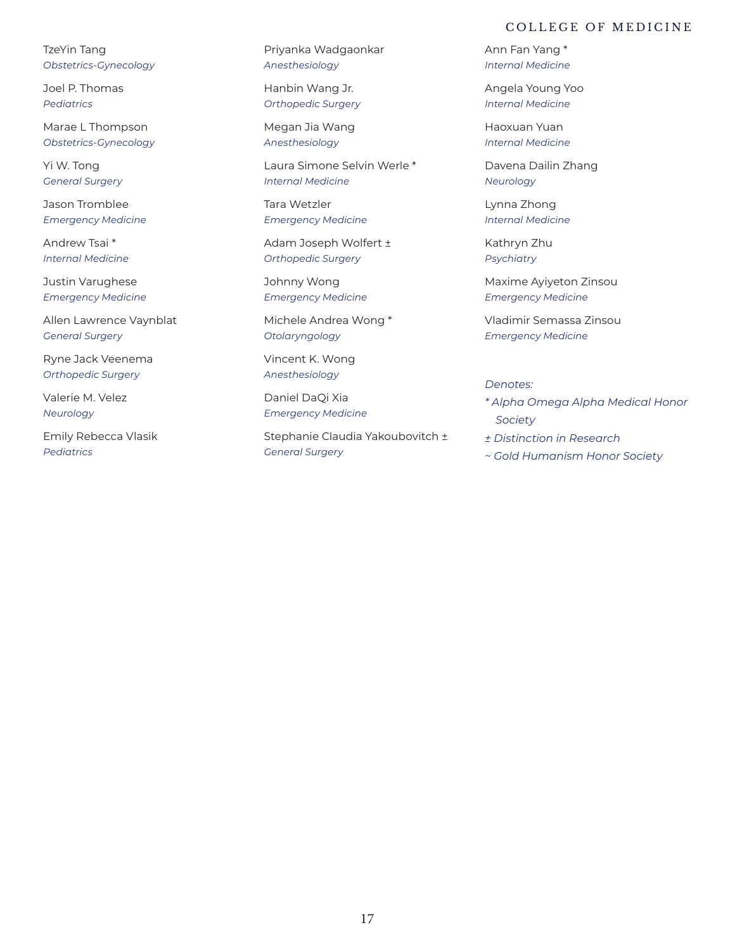TzeYin Tang *Obstetrics-Gynecology*

Joel P. Thomas *Pediatrics*

Marae L Thompson *Obstetrics-Gynecology*

Yi W. Tong *General Surgery*

Jason Tromblee *Emergency Medicine*

Andrew Tsai \* *Internal Medicine*

Justin Varughese *Emergency Medicine*

Allen Lawrence Vaynblat *General Surgery*

Ryne Jack Veenema *Orthopedic Surgery*

Valerie M. Velez *Neurology*

Emily Rebecca Vlasik *Pediatrics*

Priyanka Wadgaonkar *Anesthesiology*

Hanbin Wang Jr. *Orthopedic Surgery*

Megan Jia Wang *Anesthesiology*

Laura Simone Selvin Werle \* *Internal Medicine*

Tara Wetzler *Emergency Medicine*

Adam Joseph Wolfert ± *Orthopedic Surgery*

Johnny Wong *Emergency Medicine*

Michele Andrea Wong \* *Otolaryngology*

Vincent K. Wong *Anesthesiology*

Daniel DaQi Xia *Emergency Medicine*

Stephanie Claudia Yakoubovitch ± *General Surgery*

Ann Fan Yang \* *Internal Medicine*

Angela Young Yoo *Internal Medicine*

Haoxuan Yuan *Internal Medicine*

Davena Dailin Zhang *Neurology*

Lynna Zhong *Internal Medicine*

Kathryn Zhu *Psychiatry*

Maxime Ayiyeton Zinsou *Emergency Medicine*

Vladimir Semassa Zinsou *Emergency Medicine*

### *Denotes:*

- *\* Alpha Omega Alpha Medical Honor Society*
- *± Distinction in Research*
- *~ Gold Humanism Honor Society*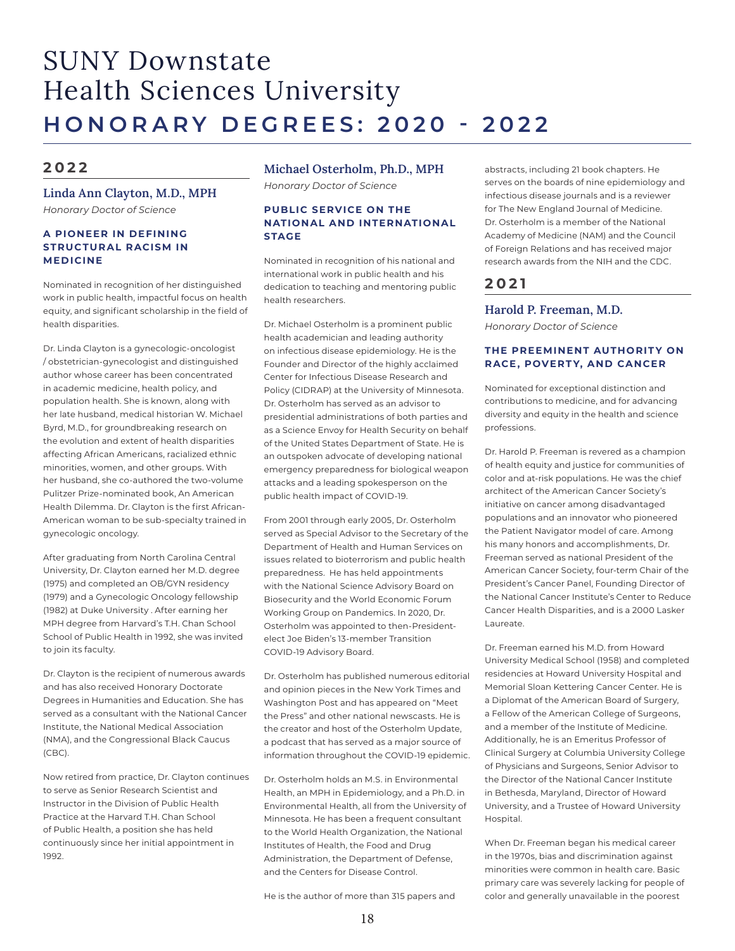## SUNY Downstate Health Sciences University **HONORARY DEGREES: 2020 - 2022**

### **2 0 2 2**

### **Linda Ann Clayton, M.D., MPH** *Honorary Doctor of Science*

#### **A PIONEER IN DEFINING STRUCTURAL RACISM IN MEDICINE**

Nominated in recognition of her distinguished work in public health, impactful focus on health equity, and significant scholarship in the field of health disparities.

Dr. Linda Clayton is a gynecologic-oncologist / obstetrician-gynecologist and distinguished author whose career has been concentrated in academic medicine, health policy, and population health. She is known, along with her late husband, medical historian W. Michael Byrd, M.D., for groundbreaking research on the evolution and extent of health disparities affecting African Americans, racialized ethnic minorities, women, and other groups. With her husband, she co-authored the two-volume Pulitzer Prize-nominated book, An American Health Dilemma. Dr. Clayton is the first African-American woman to be sub-specialty trained in gynecologic oncology.

After graduating from North Carolina Central University, Dr. Clayton earned her M.D. degree (1975) and completed an OB/GYN residency (1979) and a Gynecologic Oncology fellowship (1982) at Duke University . After earning her MPH degree from Harvard's T.H. Chan School School of Public Health in 1992, she was invited to join its faculty.

Dr. Clayton is the recipient of numerous awards and has also received Honorary Doctorate Degrees in Humanities and Education. She has served as a consultant with the National Cancer Institute, the National Medical Association (NMA), and the Congressional Black Caucus (CBC).

Now retired from practice, Dr. Clayton continues to serve as Senior Research Scientist and Instructor in the Division of Public Health Practice at the Harvard T.H. Chan School of Public Health, a position she has held continuously since her initial appointment in 1992.

### **Michael Osterholm, Ph.D., MPH**  *Honorary Doctor of Science*

#### **PUBLIC SERVICE ON THE NATIONAL AND INTERNATIONAL STAGE**

Nominated in recognition of his national and international work in public health and his dedication to teaching and mentoring public health researchers.

Dr. Michael Osterholm is a prominent public health academician and leading authority on infectious disease epidemiology. He is the Founder and Director of the highly acclaimed Center for Infectious Disease Research and Policy (CIDRAP) at the University of Minnesota. Dr. Osterholm has served as an advisor to presidential administrations of both parties and as a Science Envoy for Health Security on behalf of the United States Department of State. He is an outspoken advocate of developing national emergency preparedness for biological weapon attacks and a leading spokesperson on the public health impact of COVID-19.

From 2001 through early 2005, Dr. Osterholm served as Special Advisor to the Secretary of the Department of Health and Human Services on issues related to bioterrorism and public health preparedness. He has held appointments with the National Science Advisory Board on Biosecurity and the World Economic Forum Working Group on Pandemics. In 2020, Dr. Osterholm was appointed to then-Presidentelect Joe Biden's 13-member Transition COVID-19 Advisory Board.

Dr. Osterholm has published numerous editorial and opinion pieces in the New York Times and Washington Post and has appeared on "Meet the Press" and other national newscasts. He is the creator and host of the Osterholm Update, a podcast that has served as a major source of information throughout the COVID-19 epidemic.

Dr. Osterholm holds an M.S. in Environmental Health, an MPH in Epidemiology, and a Ph.D. in Environmental Health, all from the University of Minnesota. He has been a frequent consultant to the World Health Organization, the National Institutes of Health, the Food and Drug Administration, the Department of Defense, and the Centers for Disease Control.

He is the author of more than 315 papers and

abstracts, including 21 book chapters. He serves on the boards of nine epidemiology and infectious disease journals and is a reviewer for The New England Journal of Medicine. Dr. Osterholm is a member of the National Academy of Medicine (NAM) and the Council of Foreign Relations and has received major research awards from the NIH and the CDC.

### **2021**

### **Harold P. Freeman, M.D.**

*Honorary Doctor of Science*

#### **THE PREEMINENT AUTHORITY ON RACE, POVERTY, AND CANCER**

Nominated for exceptional distinction and contributions to medicine, and for advancing diversity and equity in the health and science professions.

Dr. Harold P. Freeman is revered as a champion of health equity and justice for communities of color and at-risk populations. He was the chief architect of the American Cancer Society's initiative on cancer among disadvantaged populations and an innovator who pioneered the Patient Navigator model of care. Among his many honors and accomplishments, Dr. Freeman served as national President of the American Cancer Society, four-term Chair of the President's Cancer Panel, Founding Director of the National Cancer Institute's Center to Reduce Cancer Health Disparities, and is a 2000 Lasker Laureate.

Dr. Freeman earned his M.D. from Howard University Medical School (1958) and completed residencies at Howard University Hospital and Memorial Sloan Kettering Cancer Center. He is a Diplomat of the American Board of Surgery, a Fellow of the American College of Surgeons, and a member of the Institute of Medicine. Additionally, he is an Emeritus Professor of Clinical Surgery at Columbia University College of Physicians and Surgeons, Senior Advisor to the Director of the National Cancer Institute in Bethesda, Maryland, Director of Howard University, and a Trustee of Howard University Hospital.

When Dr. Freeman began his medical career in the 1970s, bias and discrimination against minorities were common in health care. Basic primary care was severely lacking for people of color and generally unavailable in the poorest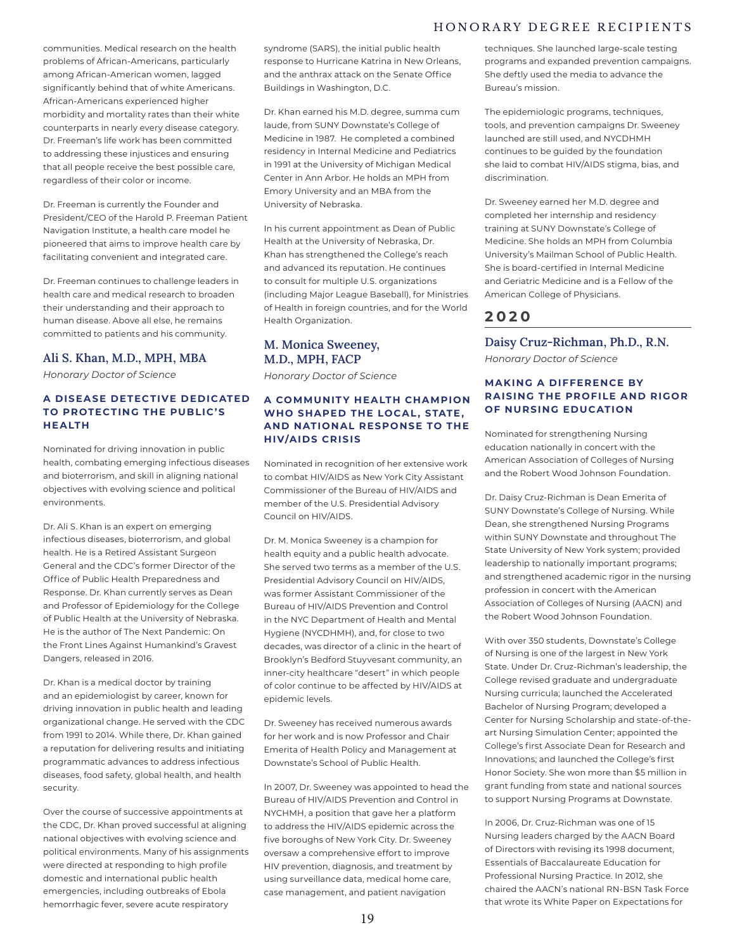### HONORARY DEGREE RECIPIENTS

communities. Medical research on the health problems of African-Americans, particularly among African-American women, lagged significantly behind that of white Americans. African-Americans experienced higher morbidity and mortality rates than their white counterparts in nearly every disease category. Dr. Freeman's life work has been committed to addressing these injustices and ensuring that all people receive the best possible care, regardless of their color or income.

Dr. Freeman is currently the Founder and President/CEO of the Harold P. Freeman Patient Navigation Institute, a health care model he pioneered that aims to improve health care by facilitating convenient and integrated care.

Dr. Freeman continues to challenge leaders in health care and medical research to broaden their understanding and their approach to human disease. Above all else, he remains committed to patients and his community.

#### **Ali S. Khan, M.D., MPH, MBA**

*Honorary Doctor of Science*

### **A DISEASE DETECTIVE DEDICATED TO PROTECTING THE PUBLIC'S HEALTH**

Nominated for driving innovation in public health, combating emerging infectious diseases and bioterrorism, and skill in aligning national objectives with evolving science and political environments.

Dr. Ali S. Khan is an expert on emerging infectious diseases, bioterrorism, and global health. He is a Retired Assistant Surgeon General and the CDC's former Director of the Office of Public Health Preparedness and Response. Dr. Khan currently serves as Dean and Professor of Epidemiology for the College of Public Health at the University of Nebraska. He is the author of The Next Pandemic: On the Front Lines Against Humankind's Gravest Dangers, released in 2016.

Dr. Khan is a medical doctor by training and an epidemiologist by career, known for driving innovation in public health and leading organizational change. He served with the CDC from 1991 to 2014. While there, Dr. Khan gained a reputation for delivering results and initiating programmatic advances to address infectious diseases, food safety, global health, and health security.

Over the course of successive appointments at the CDC, Dr. Khan proved successful at aligning national objectives with evolving science and political environments. Many of his assignments were directed at responding to high profile domestic and international public health emergencies, including outbreaks of Ebola hemorrhagic fever, severe acute respiratory

syndrome (SARS), the initial public health response to Hurricane Katrina in New Orleans, and the anthrax attack on the Senate Office Buildings in Washington, D.C.

Dr. Khan earned his M.D. degree, summa cum laude, from SUNY Downstate's College of Medicine in 1987. He completed a combined residency in Internal Medicine and Pediatrics in 1991 at the University of Michigan Medical Center in Ann Arbor. He holds an MPH from Emory University and an MBA from the University of Nebraska.

In his current appointment as Dean of Public Health at the University of Nebraska, Dr. Khan has strengthened the College's reach and advanced its reputation. He continues to consult for multiple U.S. organizations (including Major League Baseball), for Ministries of Health in foreign countries, and for the World Health Organization.

### **M. Monica Sweeney, M.D., MPH, FACP**

*Honorary Doctor of Science*

#### **A COMMUNITY HEALTH CHAMPION WHO SHAPED THE LOCAL , STATE , AND NATIONAL RESPONSE TO THE HIV/AIDS CRISIS**

Nominated in recognition of her extensive work to combat HIV/AIDS as New York City Assistant Commissioner of the Bureau of HIV/AIDS and member of the U.S. Presidential Advisory Council on HIV/AIDS.

Dr. M. Monica Sweeney is a champion for health equity and a public health advocate. She served two terms as a member of the U.S. Presidential Advisory Council on HIV/AIDS, was former Assistant Commissioner of the Bureau of HIV/AIDS Prevention and Control in the NYC Department of Health and Mental Hygiene (NYCDHMH), and, for close to two decades, was director of a clinic in the heart of Brooklyn's Bedford Stuyvesant community, an inner-city healthcare "desert" in which people of color continue to be affected by HIV/AIDS at epidemic levels.

Dr. Sweeney has received numerous awards for her work and is now Professor and Chair Emerita of Health Policy and Management at Downstate's School of Public Health.

In 2007, Dr. Sweeney was appointed to head the Bureau of HIV/AIDS Prevention and Control in NYCHMH, a position that gave her a platform to address the HIV/AIDS epidemic across the five boroughs of New York City. Dr. Sweeney oversaw a comprehensive effort to improve HIV prevention, diagnosis, and treatment by using surveillance data, medical home care, case management, and patient navigation

techniques. She launched large-scale testing programs and expanded prevention campaigns. She deftly used the media to advance the Bureau's mission.

The epidemiologic programs, techniques, tools, and prevention campaigns Dr. Sweeney launched are still used, and NYCDHMH continues to be guided by the foundation she laid to combat HIV/AIDS stigma, bias, and discrimination.

Dr. Sweeney earned her M.D. degree and completed her internship and residency training at SUNY Downstate's College of Medicine. She holds an MPH from Columbia University's Mailman School of Public Health. She is board-certified in Internal Medicine and Geriatric Medicine and is a Fellow of the American College of Physicians.

### **2 0 2 0**

**Daisy Cruz-Richman, Ph.D., R.N.**

*Honorary Doctor of Science*

### **MAKING A DIFFERENCE BY R AISING THE PROFILE AND RIGOR OF NURSING EDUCATION**

Nominated for strengthening Nursing education nationally in concert with the American Association of Colleges of Nursing and the Robert Wood Johnson Foundation.

Dr. Daisy Cruz-Richman is Dean Emerita of SUNY Downstate's College of Nursing. While Dean, she strengthened Nursing Programs within SUNY Downstate and throughout The State University of New York system; provided leadership to nationally important programs; and strengthened academic rigor in the nursing profession in concert with the American Association of Colleges of Nursing (AACN) and the Robert Wood Johnson Foundation.

With over 350 students, Downstate's College of Nursing is one of the largest in New York State. Under Dr. Cruz-Richman's leadership, the College revised graduate and undergraduate Nursing curricula; launched the Accelerated Bachelor of Nursing Program; developed a Center for Nursing Scholarship and state-of-theart Nursing Simulation Center; appointed the College's first Associate Dean for Research and Innovations; and launched the College's first Honor Society. She won more than \$5 million in grant funding from state and national sources to support Nursing Programs at Downstate.

In 2006, Dr. Cruz-Richman was one of 15 Nursing leaders charged by the AACN Board of Directors with revising its 1998 document, Essentials of Baccalaureate Education for Professional Nursing Practice. In 2012, she chaired the AACN's national RN-BSN Task Force that wrote its White Paper on Expectations for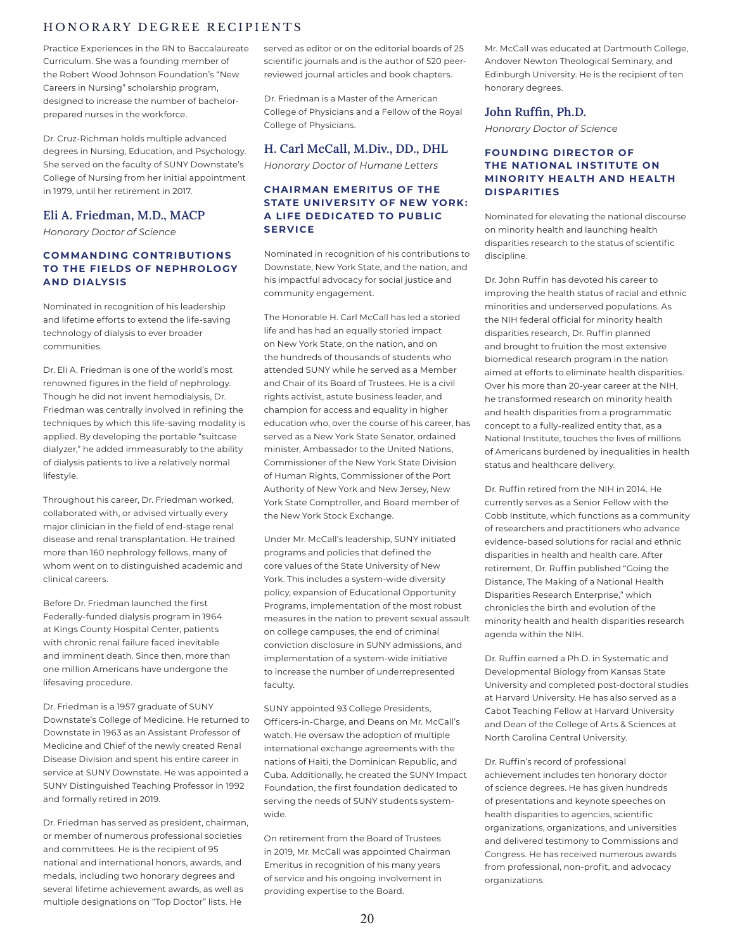### HONORARY DEGREE RECIPIENTS

Practice Experiences in the RN to Baccalaureate Curriculum. She was a founding member of the Robert Wood Johnson Foundation's "New Careers in Nursing" scholarship program, designed to increase the number of bachelorprepared nurses in the workforce.

Dr. Cruz-Richman holds multiple advanced degrees in Nursing, Education, and Psychology. She served on the faculty of SUNY Downstate's College of Nursing from her initial appointment in 1979, until her retirement in 2017.

### **Eli A. Friedman, M.D., MACP**

*Honorary Doctor of Science*

#### **COMMANDING CONTRIBUTIONS TO THE FIELDS OF NEPHROLOGY AND DIALYSIS**

Nominated in recognition of his leadership and lifetime efforts to extend the life-saving technology of dialysis to ever broader communities.

Dr. Eli A. Friedman is one of the world's most renowned figures in the field of nephrology. Though he did not invent hemodialysis, Dr. Friedman was centrally involved in refining the techniques by which this life-saving modality is applied. By developing the portable "suitcase dialyzer," he added immeasurably to the ability of dialysis patients to live a relatively normal lifestyle.

Throughout his career, Dr. Friedman worked, collaborated with, or advised virtually every major clinician in the field of end-stage renal disease and renal transplantation. He trained more than 160 nephrology fellows, many of whom went on to distinguished academic and clinical careers.

Before Dr. Friedman launched the first Federally-funded dialysis program in 1964 at Kings County Hospital Center, patients with chronic renal failure faced inevitable and imminent death. Since then, more than one million Americans have undergone the lifesaving procedure.

Dr. Friedman is a 1957 graduate of SUNY Downstate's College of Medicine. He returned to Downstate in 1963 as an Assistant Professor of Medicine and Chief of the newly created Renal Disease Division and spent his entire career in service at SUNY Downstate. He was appointed a SUNY Distinguished Teaching Professor in 1992 and formally retired in 2019.

Dr. Friedman has served as president, chairman, or member of numerous professional societies and committees. He is the recipient of 95 national and international honors, awards, and medals, including two honorary degrees and several lifetime achievement awards, as well as multiple designations on "Top Doctor" lists. He

served as editor or on the editorial boards of 25 scientific journals and is the author of 520 peerreviewed journal articles and book chapters.

Dr. Friedman is a Master of the American College of Physicians and a Fellow of the Royal College of Physicians.

### **H. Carl McCall, M.Div., DD., DHL**

*Honorary Doctor of Humane Letters*

#### **CHAIRMAN EMERITUS OF THE STATE UNIVERSITY OF NEW YORK: A LIFE DEDICATED TO PUBLIC SERVICE**

Nominated in recognition of his contributions to Downstate, New York State, and the nation, and his impactful advocacy for social justice and community engagement.

The Honorable H. Carl McCall has led a storied life and has had an equally storied impact on New York State, on the nation, and on the hundreds of thousands of students who attended SUNY while he served as a Member and Chair of its Board of Trustees. He is a civil rights activist, astute business leader, and champion for access and equality in higher education who, over the course of his career, has served as a New York State Senator, ordained minister, Ambassador to the United Nations, Commissioner of the New York State Division of Human Rights, Commissioner of the Port Authority of New York and New Jersey, New York State Comptroller, and Board member of the New York Stock Exchange.

Under Mr. McCall's leadership, SUNY initiated programs and policies that defined the core values of the State University of New York. This includes a system-wide diversity policy, expansion of Educational Opportunity Programs, implementation of the most robust measures in the nation to prevent sexual assault on college campuses, the end of criminal conviction disclosure in SUNY admissions, and implementation of a system-wide initiative to increase the number of underrepresented faculty.

SUNY appointed 93 College Presidents, Officers-in-Charge, and Deans on Mr. McCall's watch. He oversaw the adoption of multiple international exchange agreements with the nations of Haiti, the Dominican Republic, and Cuba. Additionally, he created the SUNY Impact Foundation, the first foundation dedicated to serving the needs of SUNY students systemwide.

On retirement from the Board of Trustees in 2019, Mr. McCall was appointed Chairman Emeritus in recognition of his many years of service and his ongoing involvement in providing expertise to the Board.

Mr. McCall was educated at Dartmouth College, Andover Newton Theological Seminary, and Edinburgh University. He is the recipient of ten honorary degrees.

### **John Ruffin, Ph.D.**

*Honorary Doctor of Science*

### **FOUNDING DIRECTOR OF THE NATIONAL INSTITUTE ON MINORITY HEALTH AND HEALTH DISPARITIES**

Nominated for elevating the national discourse on minority health and launching health disparities research to the status of scientific discipline.

Dr. John Ruffin has devoted his career to improving the health status of racial and ethnic minorities and underserved populations. As the NIH federal official for minority health disparities research, Dr. Ruffin planned and brought to fruition the most extensive biomedical research program in the nation aimed at efforts to eliminate health disparities. Over his more than 20-year career at the NIH, he transformed research on minority health and health disparities from a programmatic concept to a fully-realized entity that, as a National Institute, touches the lives of millions of Americans burdened by inequalities in health status and healthcare delivery.

Dr. Ruffin retired from the NIH in 2014. He currently serves as a Senior Fellow with the Cobb Institute, which functions as a community of researchers and practitioners who advance evidence-based solutions for racial and ethnic disparities in health and health care. After retirement, Dr. Ruffin published "Going the Distance, The Making of a National Health Disparities Research Enterprise," which chronicles the birth and evolution of the minority health and health disparities research agenda within the NIH.

Dr. Ruffin earned a Ph.D. in Systematic and Developmental Biology from Kansas State University and completed post-doctoral studies at Harvard University. He has also served as a Cabot Teaching Fellow at Harvard University and Dean of the College of Arts & Sciences at North Carolina Central University.

Dr. Ruffin's record of professional achievement includes ten honorary doctor of science degrees. He has given hundreds of presentations and keynote speeches on health disparities to agencies, scientific organizations, organizations, and universities and delivered testimony to Commissions and Congress. He has received numerous awards from professional, non-profit, and advocacy organizations.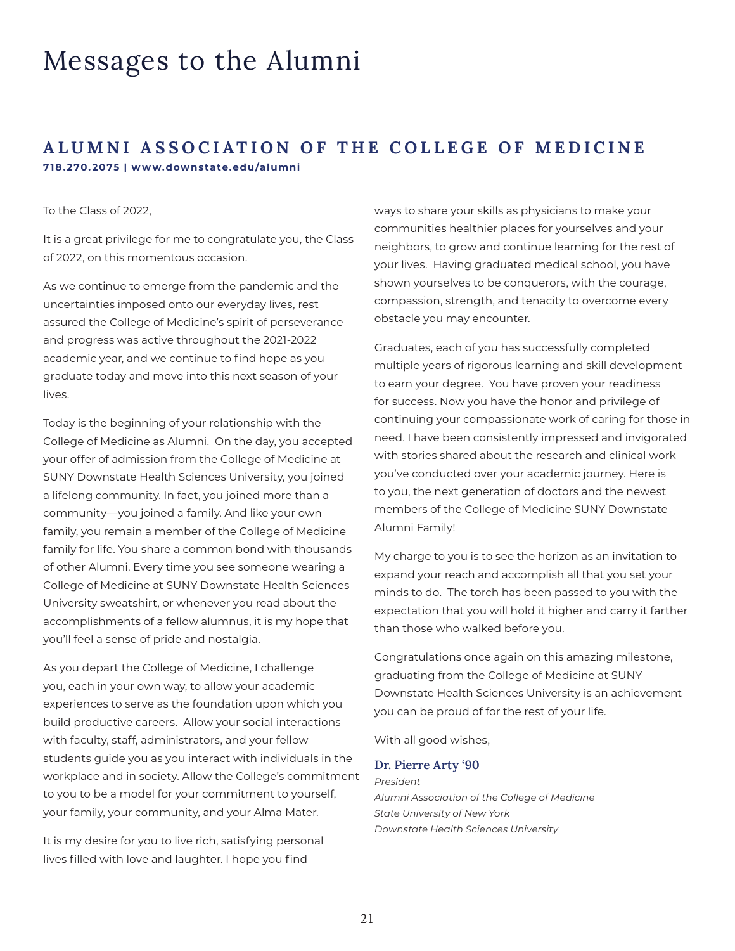### **ALUMNI ASSOCIATION OF THE COLLEGE OF MEDICINE 718.270.2075 | www.downstate.edu/alumni**

### To the Class of 2022,

It is a great privilege for me to congratulate you, the Class of 2022, on this momentous occasion.

As we continue to emerge from the pandemic and the uncertainties imposed onto our everyday lives, rest assured the College of Medicine's spirit of perseverance and progress was active throughout the 2021-2022 academic year, and we continue to find hope as you graduate today and move into this next season of your lives.

Today is the beginning of your relationship with the College of Medicine as Alumni. On the day, you accepted your offer of admission from the College of Medicine at SUNY Downstate Health Sciences University, you joined a lifelong community. In fact, you joined more than a community—you joined a family. And like your own family, you remain a member of the College of Medicine family for life. You share a common bond with thousands of other Alumni. Every time you see someone wearing a College of Medicine at SUNY Downstate Health Sciences University sweatshirt, or whenever you read about the accomplishments of a fellow alumnus, it is my hope that you'll feel a sense of pride and nostalgia.

As you depart the College of Medicine, I challenge you, each in your own way, to allow your academic experiences to serve as the foundation upon which you build productive careers. Allow your social interactions with faculty, staff, administrators, and your fellow students guide you as you interact with individuals in the workplace and in society. Allow the College's commitment to you to be a model for your commitment to yourself, your family, your community, and your Alma Mater.

It is my desire for you to live rich, satisfying personal lives filled with love and laughter. I hope you find

ways to share your skills as physicians to make your communities healthier places for yourselves and your neighbors, to grow and continue learning for the rest of your lives. Having graduated medical school, you have shown yourselves to be conquerors, with the courage, compassion, strength, and tenacity to overcome every obstacle you may encounter.

Graduates, each of you has successfully completed multiple years of rigorous learning and skill development to earn your degree. You have proven your readiness for success. Now you have the honor and privilege of continuing your compassionate work of caring for those in need. I have been consistently impressed and invigorated with stories shared about the research and clinical work you've conducted over your academic journey. Here is to you, the next generation of doctors and the newest members of the College of Medicine SUNY Downstate Alumni Family!

My charge to you is to see the horizon as an invitation to expand your reach and accomplish all that you set your minds to do. The torch has been passed to you with the expectation that you will hold it higher and carry it farther than those who walked before you.

Congratulations once again on this amazing milestone, graduating from the College of Medicine at SUNY Downstate Health Sciences University is an achievement you can be proud of for the rest of your life.

With all good wishes,

#### **Dr. Pierre Arty '90**

*President Alumni Association of the College of Medicine State University of New York Downstate Health Sciences University*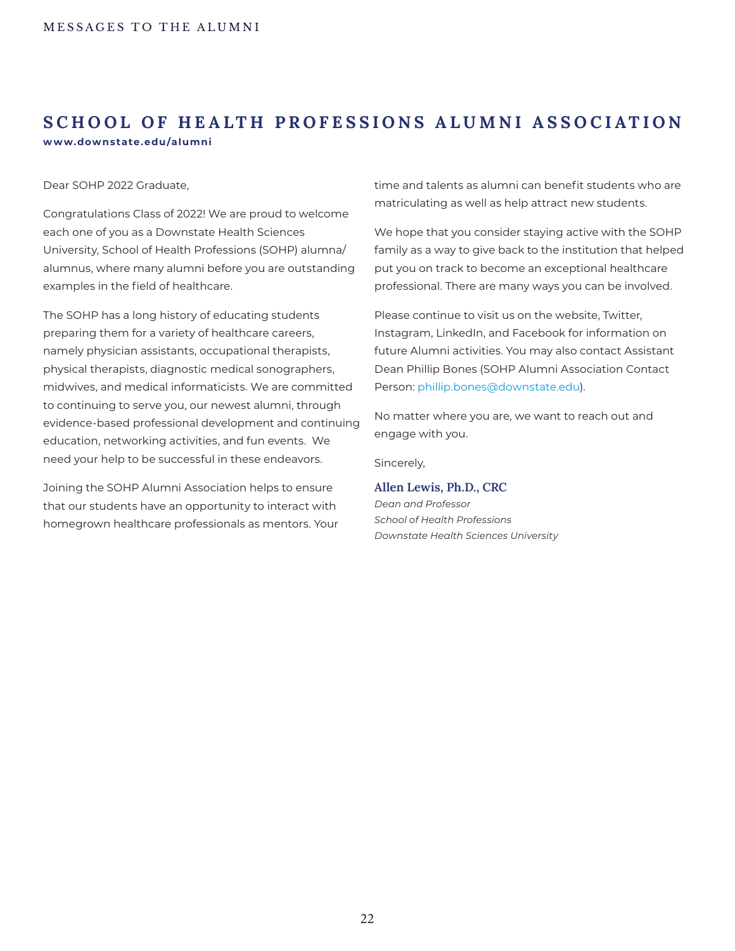## **SCHOOL OF HEALTH PROFESSIONS ALUMNI ASSOCIATION www.downstate.edu/alumni**

Dear SOHP 2022 Graduate,

Congratulations Class of 2022! We are proud to welcome each one of you as a Downstate Health Sciences University, School of Health Professions (SOHP) alumna/ alumnus, where many alumni before you are outstanding examples in the field of healthcare.

The SOHP has a long history of educating students preparing them for a variety of healthcare careers, namely physician assistants, occupational therapists, physical therapists, diagnostic medical sonographers, midwives, and medical informaticists. We are committed to continuing to serve you, our newest alumni, through evidence-based professional development and continuing education, networking activities, and fun events. We need your help to be successful in these endeavors.

Joining the SOHP Alumni Association helps to ensure that our students have an opportunity to interact with homegrown healthcare professionals as mentors. Your time and talents as alumni can benefit students who are matriculating as well as help attract new students.

We hope that you consider staying active with the SOHP family as a way to give back to the institution that helped put you on track to become an exceptional healthcare professional. There are many ways you can be involved.

Please continue to visit us on the website, Twitter, Instagram, LinkedIn, and Facebook for information on future Alumni activities. You may also contact Assistant Dean Phillip Bones (SOHP Alumni Association Contact Person: phillip.bones@downstate.edu).

No matter where you are, we want to reach out and engage with you.

Sincerely,

### **Allen Lewis, Ph.D., CRC**

*Dean and Professor School of Health Professions Downstate Health Sciences University*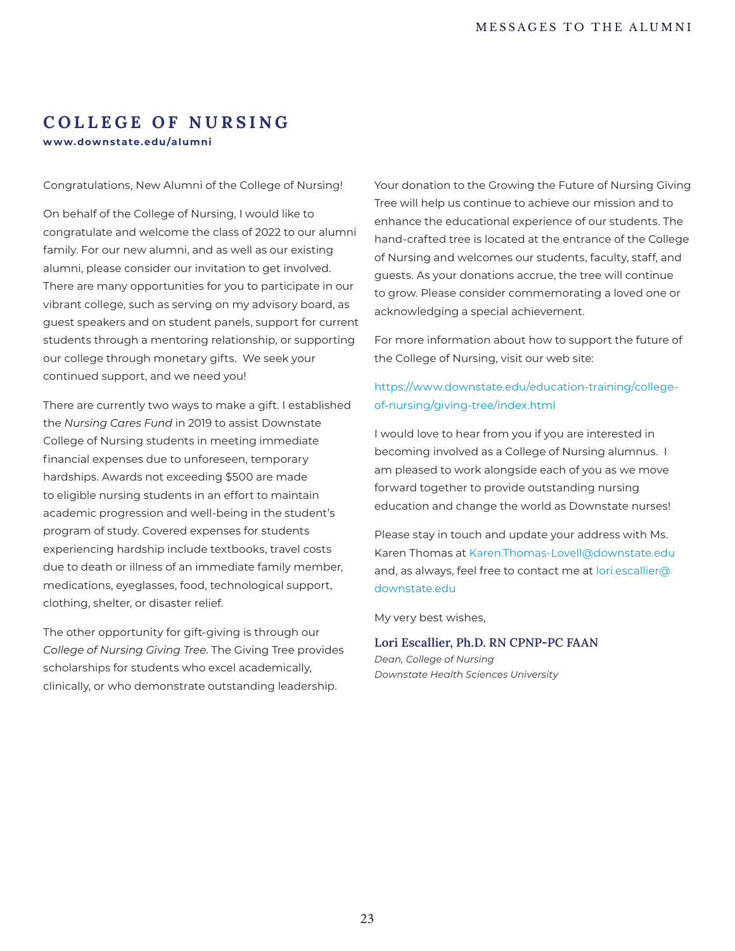### **COLLEGE OF NURSING**

**w w w.downstate.edu/alumni** 

Congratulations, New Alumni of the College of Nursing!

On behalf of the College of Nursing, I would like to congratulate and welcome the class of 2022 to our alumni family. For our new alumni, and as well as our existing alumni, please consider our invitation to get involved. There are many opportunities for you to participate in our vibrant college, such as serving on my advisory board, as guest speakers and on student panels, support for current students through a mentoring relationship, or supporting our college through monetary gifts. We seek your continued support, and we need you!

There are currently two ways to make a gift. I established the *Nursing Cares Fund* in 2019 to assist Downstate College of Nursing students in meeting immediate financial expenses due to unforeseen, temporary hardships. Awards not exceeding \$500 are made to eligible nursing students in an effort to maintain academic progression and well-being in the student's program of study. Covered expenses for students experiencing hardship include textbooks, travel costs due to death or illness of an immediate family member, medications, eyeglasses, food, technological support, clothing, shelter, or disaster relief.

The other opportunity for gift-giving is through our *College of Nursing Giving Tree*. The Giving Tree provides scholarships for students who excel academically, clinically, or who demonstrate outstanding leadership.

Your donation to the Growing the Future of Nursing Giving Tree will help us continue to achieve our mission and to enhance the educational experience of our students. The hand-crafted tree is located at the entrance of the College of Nursing and welcomes our students, faculty, staff, and guests. As your donations accrue, the tree will continue to grow. Please consider commemorating a loved one or acknowledging a special achievement.

For more information about how to support the future of the College of Nursing, visit our web site:

### https://www.downstate.edu/education-training/collegeof-nursing/giving-tree/index.html

I would love to hear from you if you are interested in becoming involved as a College of Nursing alumnus. I am pleased to work alongside each of you as we move forward together to provide outstanding nursing education and change the world as Downstate nurses!

Please stay in touch and update your address with Ms. Karen Thomas at Karen.Thomas-Lovell@downstate.edu and, as always, feel free to contact me at lori.escallier@ downstate.edu

My very best wishes,

### **Lori Escallier, Ph.D. RN CPNP-PC FAAN** *Dean, College of Nursing*

*Downstate Health Sciences University*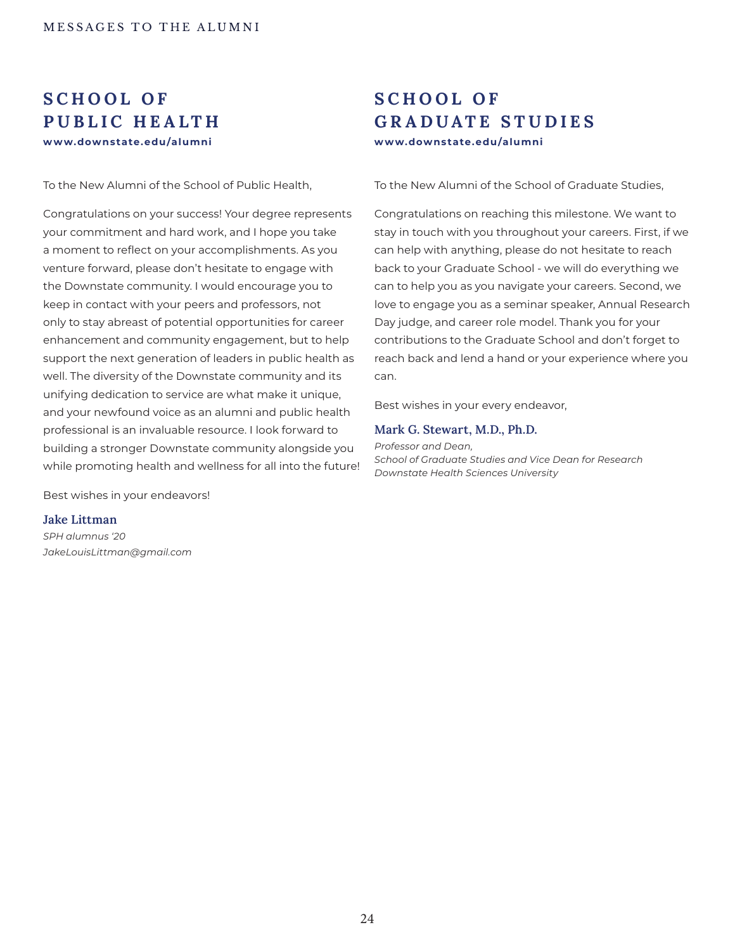## **S C H O O L O F PUBLIC HEALTH www.downstate.edu/alumni www.downstate.edu/alumni**

To the New Alumni of the School of Public Health,

Congratulations on your success! Your degree represents your commitment and hard work, and I hope you take a moment to reflect on your accomplishments. As you venture forward, please don't hesitate to engage with the Downstate community. I would encourage you to keep in contact with your peers and professors, not only to stay abreast of potential opportunities for career enhancement and community engagement, but to help support the next generation of leaders in public health as well. The diversity of the Downstate community and its unifying dedication to service are what make it unique, and your newfound voice as an alumni and public health professional is an invaluable resource. I look forward to building a stronger Downstate community alongside you while promoting health and wellness for all into the future!

Best wishes in your endeavors!

### **Jake Littman**

*SPH alumnus '20 JakeLouisLittman@gmail.com*

## **S C H O O L O F GRADUATE STUDIES**

To the New Alumni of the School of Graduate Studies,

Congratulations on reaching this milestone. We want to stay in touch with you throughout your careers. First, if we can help with anything, please do not hesitate to reach back to your Graduate School - we will do everything we can to help you as you navigate your careers. Second, we love to engage you as a seminar speaker, Annual Research Day judge, and career role model. Thank you for your contributions to the Graduate School and don't forget to reach back and lend a hand or your experience where you can.

Best wishes in your every endeavor,

#### **Mark G. Stewart, M.D., Ph.D.**

*Professor and Dean, School of Graduate Studies and Vice Dean for Research Downstate Health Sciences University*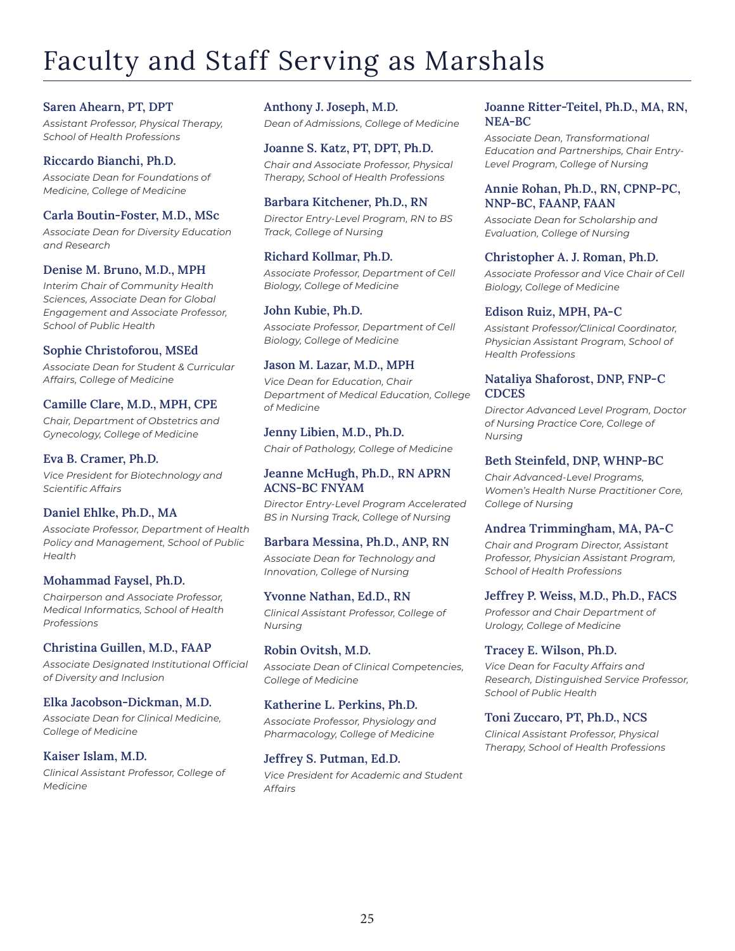## Faculty and Staff Serving as Marshals

### **Saren Ahearn, PT, DPT**

*Assistant Professor, Physical Therapy, School of Health Professions*

### **Riccardo Bianchi, Ph.D.**

*Associate Dean for Foundations of Medicine, College of Medicine*

### **Carla Boutin-Foster, M.D., MSc**

*Associate Dean for Diversity Education and Research*

### **Denise M. Bruno, M.D., MPH**

*Interim Chair of Community Health Sciences, Associate Dean for Global Engagement and Associate Professor, School of Public Health*

### **Sophie Christoforou, MSEd**

*Associate Dean for Student & Curricular Affairs, College of Medicine*

### **Camille Clare, M.D., MPH, CPE**

*Chair, Department of Obstetrics and Gynecology, College of Medicine*

### **Eva B. Cramer, Ph.D.**

*Vice President for Biotechnology and Scientific Affairs*

### **Daniel Ehlke, Ph.D., MA**

*Associate Professor, Department of Health Policy and Management, School of Public Health*

### **Mohammad Faysel, Ph.D.**

*Chairperson and Associate Professor, Medical Informatics, School of Health Professions*

### **Christina Guillen, M.D., FAAP**

*Associate Designated Institutional Official of Diversity and Inclusion*

### **Elka Jacobson-Dickman, M.D.**

*Associate Dean for Clinical Medicine, College of Medicine*

### **Kaiser Islam, M.D.**

*Clinical Assistant Professor, College of Medicine*

**Anthony J. Joseph, M.D.** *Dean of Admissions, College of Medicine*

**Joanne S. Katz, PT, DPT, Ph.D.** *Chair and Associate Professor, Physical Therapy, School of Health Professions*

### **Barbara Kitchener, Ph.D., RN**

*Director Entry-Level Program, RN to BS Track, College of Nursing*

### **Richard Kollmar, Ph.D.**

*Associate Professor, Department of Cell Biology, College of Medicine*

### **John Kubie, Ph.D.** *Associate Professor, Department of Cell Biology, College of Medicine*

## **Jason M. Lazar, M.D., MPH** *Vice Dean for Education, Chair*

*Department of Medical Education, College of Medicine*

**Jenny Libien, M.D., Ph.D.** *Chair of Pathology, College of Medicine*

### **Jeanne McHugh, Ph.D., RN APRN ACNS-BC FNYAM**

*Director Entry-Level Program Accelerated BS in Nursing Track, College of Nursing*

### **Barbara Messina, Ph.D., ANP, RN**

*Associate Dean for Technology and Innovation, College of Nursing*

## **Yvonne Nathan, Ed.D., RN**

*Clinical Assistant Professor, College of Nursing* 

### **Robin Ovitsh, M.D.**

*Associate Dean of Clinical Competencies, College of Medicine*

### **Katherine L. Perkins, Ph.D.**

*Associate Professor, Physiology and Pharmacology, College of Medicine*

### **Jeffrey S. Putman, Ed.D.**

*Vice President for Academic and Student Affairs*

### **Joanne Ritter-Teitel, Ph.D., MA, RN, NEA-BC**

*Associate Dean, Transformational Education and Partnerships, Chair Entry-Level Program, College of Nursing*

### **Annie Rohan, Ph.D., RN, CPNP-PC, NNP-BC, FAANP, FAAN**

*Associate Dean for Scholarship and Evaluation, College of Nursing*

### **Christopher A. J. Roman, Ph.D.**

*Associate Professor and Vice Chair of Cell Biology, College of Medicine*

### **Edison Ruiz, MPH, PA-C**

*Assistant Professor/Clinical Coordinator, Physician Assistant Program, School of Health Professions*

### **Nataliya Shaforost, DNP, FNP-C CDCES**

*Director Advanced Level Program, Doctor of Nursing Practice Core, College of Nursing*

### **Beth Steinfeld, DNP, WHNP-BC**

*Chair Advanced-Level Programs, Women's Health Nurse Practitioner Core, College of Nursing*

### **Andrea Trimmingham, MA, PA-C**

*Chair and Program Director, Assistant Professor, Physician Assistant Program, School of Health Professions*

### **Jeffrey P. Weiss, M.D., Ph.D., FACS**

*Professor and Chair Department of Urology, College of Medicine*

### **Tracey E. Wilson, Ph.D.**

*Vice Dean for Faculty Affairs and Research, Distinguished Service Professor, School of Public Health*

### **Toni Zuccaro, PT, Ph.D., NCS**

*Clinical Assistant Professor, Physical Therapy, School of Health Professions*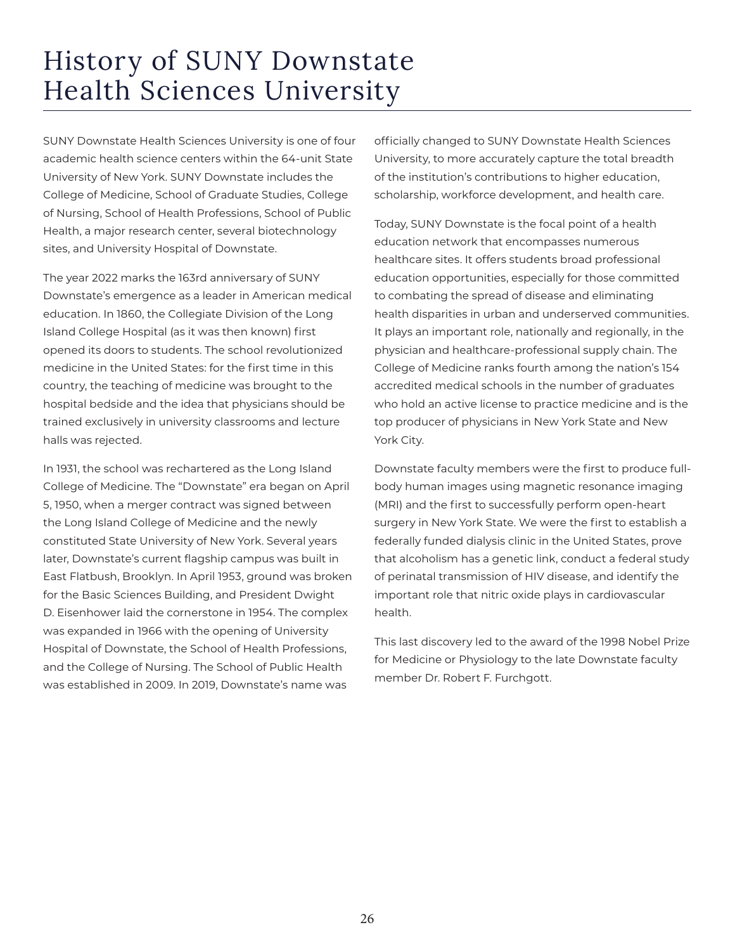## History of SUNY Downstate Health Sciences University

SUNY Downstate Health Sciences University is one of four academic health science centers within the 64-unit State University of New York. SUNY Downstate includes the College of Medicine, School of Graduate Studies, College of Nursing, School of Health Professions, School of Public Health, a major research center, several biotechnology sites, and University Hospital of Downstate.

The year 2022 marks the 163rd anniversary of SUNY Downstate's emergence as a leader in American medical education. In 1860, the Collegiate Division of the Long Island College Hospital (as it was then known) first opened its doors to students. The school revolutionized medicine in the United States: for the first time in this country, the teaching of medicine was brought to the hospital bedside and the idea that physicians should be trained exclusively in university classrooms and lecture halls was rejected.

In 1931, the school was rechartered as the Long Island College of Medicine. The "Downstate" era began on April 5, 1950, when a merger contract was signed between the Long Island College of Medicine and the newly constituted State University of New York. Several years later, Downstate's current flagship campus was built in East Flatbush, Brooklyn. In April 1953, ground was broken for the Basic Sciences Building, and President Dwight D. Eisenhower laid the cornerstone in 1954. The complex was expanded in 1966 with the opening of University Hospital of Downstate, the School of Health Professions, and the College of Nursing. The School of Public Health was established in 2009. In 2019, Downstate's name was

officially changed to SUNY Downstate Health Sciences University, to more accurately capture the total breadth of the institution's contributions to higher education, scholarship, workforce development, and health care.

Today, SUNY Downstate is the focal point of a health education network that encompasses numerous healthcare sites. It offers students broad professional education opportunities, especially for those committed to combating the spread of disease and eliminating health disparities in urban and underserved communities. It plays an important role, nationally and regionally, in the physician and healthcare-professional supply chain. The College of Medicine ranks fourth among the nation's 154 accredited medical schools in the number of graduates who hold an active license to practice medicine and is the top producer of physicians in New York State and New York City.

Downstate faculty members were the first to produce fullbody human images using magnetic resonance imaging (MRI) and the first to successfully perform open-heart surgery in New York State. We were the first to establish a federally funded dialysis clinic in the United States, prove that alcoholism has a genetic link, conduct a federal study of perinatal transmission of HIV disease, and identify the important role that nitric oxide plays in cardiovascular health.

This last discovery led to the award of the 1998 Nobel Prize for Medicine or Physiology to the late Downstate faculty member Dr. Robert F. Furchgott.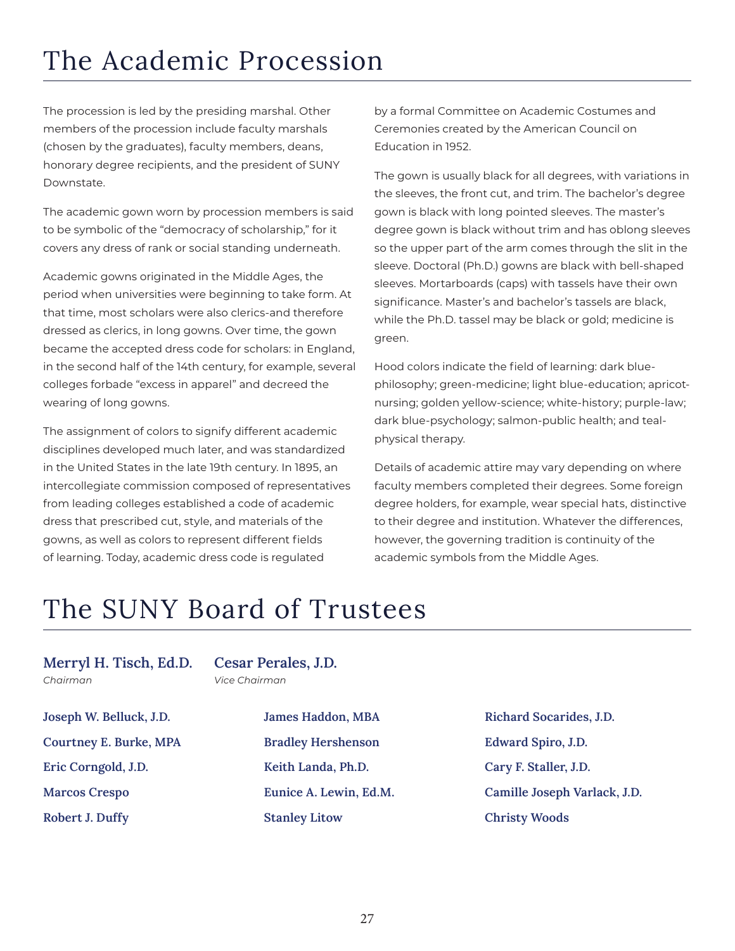## The Academic Procession

The procession is led by the presiding marshal. Other members of the procession include faculty marshals (chosen by the graduates), faculty members, deans, honorary degree recipients, and the president of SUNY Downstate.

The academic gown worn by procession members is said to be symbolic of the "democracy of scholarship," for it covers any dress of rank or social standing underneath.

Academic gowns originated in the Middle Ages, the period when universities were beginning to take form. At that time, most scholars were also clerics-and therefore dressed as clerics, in long gowns. Over time, the gown became the accepted dress code for scholars: in England, in the second half of the 14th century, for example, several colleges forbade "excess in apparel" and decreed the wearing of long gowns.

The assignment of colors to signify different academic disciplines developed much later, and was standardized in the United States in the late 19th century. In 1895, an intercollegiate commission composed of representatives from leading colleges established a code of academic dress that prescribed cut, style, and materials of the gowns, as well as colors to represent different fields of learning. Today, academic dress code is regulated

by a formal Committee on Academic Costumes and Ceremonies created by the American Council on Education in 1952.

The gown is usually black for all degrees, with variations in the sleeves, the front cut, and trim. The bachelor's degree gown is black with long pointed sleeves. The master's degree gown is black without trim and has oblong sleeves so the upper part of the arm comes through the slit in the sleeve. Doctoral (Ph.D.) gowns are black with bell-shaped sleeves. Mortarboards (caps) with tassels have their own significance. Master's and bachelor's tassels are black, while the Ph.D. tassel may be black or gold; medicine is green.

Hood colors indicate the field of learning: dark bluephilosophy; green-medicine; light blue-education; apricotnursing; golden yellow-science; white-history; purple-law; dark blue-psychology; salmon-public health; and tealphysical therapy.

Details of academic attire may vary depending on where faculty members completed their degrees. Some foreign degree holders, for example, wear special hats, distinctive to their degree and institution. Whatever the differences, however, the governing tradition is continuity of the academic symbols from the Middle Ages.

## The SUNY Board of Trustees

**Merryl H. Tisch, Ed.D.** *Chairman* 

**Cesar Perales, J.D.** *Vice Chairman* 

**Joseph W. Belluck, J.D. Courtney E. Burke, MPA Eric Corngold, J.D. Marcos Crespo Robert J. Duffy** 

**James Haddon, MBA Bradley Hershenson Keith Landa, Ph.D. Eunice A. Lewin, Ed.M. Stanley Litow** 

**Richard Socarides, J.D. Edward Spiro, J.D. Cary F. Staller, J.D. Camille Joseph Varlack, J.D. Christy Woods**